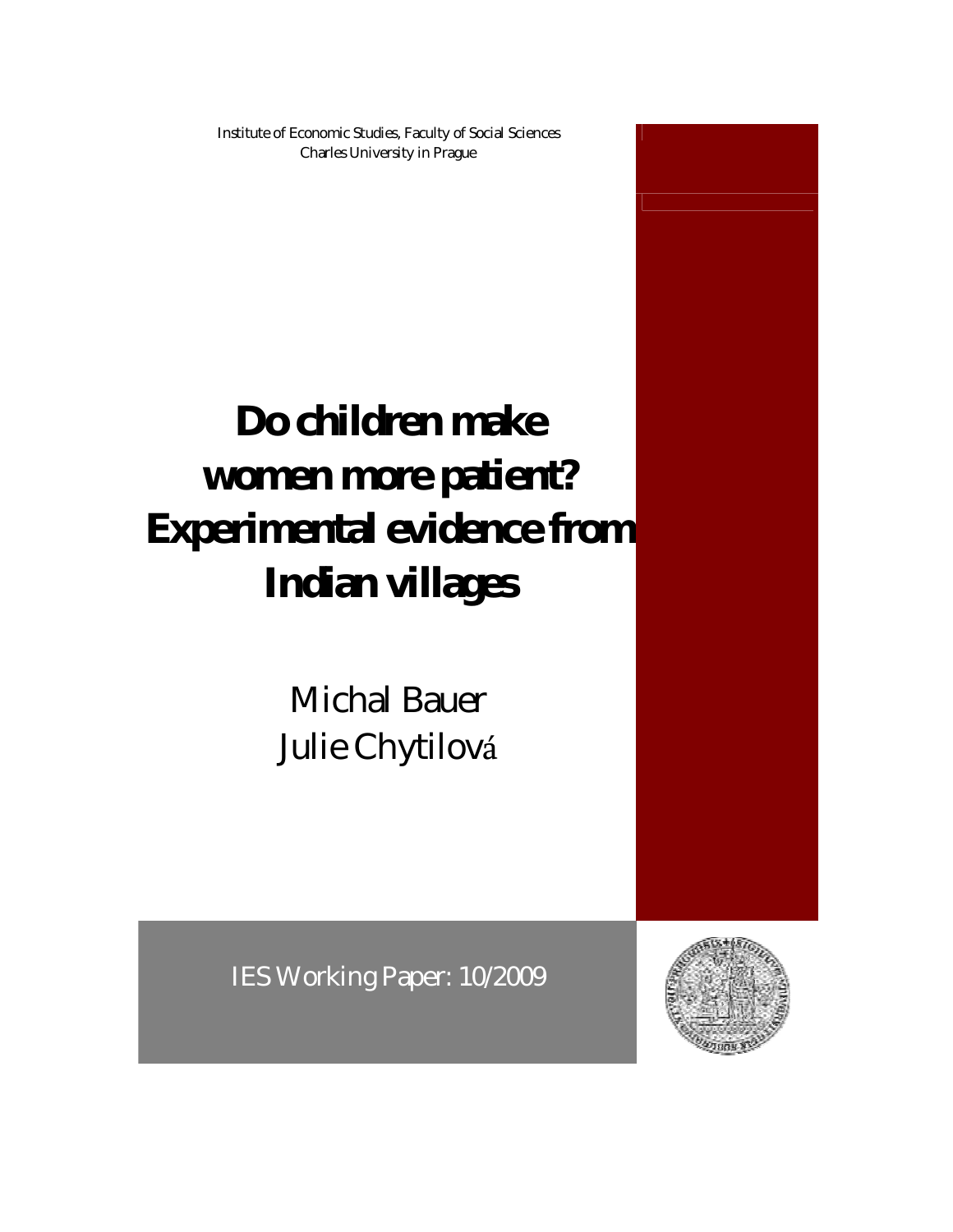Institute of Economic Studies, Faculty of Social Sciences Charles University in Prague

# **Do children make women more patient? Experimental evidence from Indian villages**

Michal Bauer Julie Chytilová

IES Working Paper: 10/2009

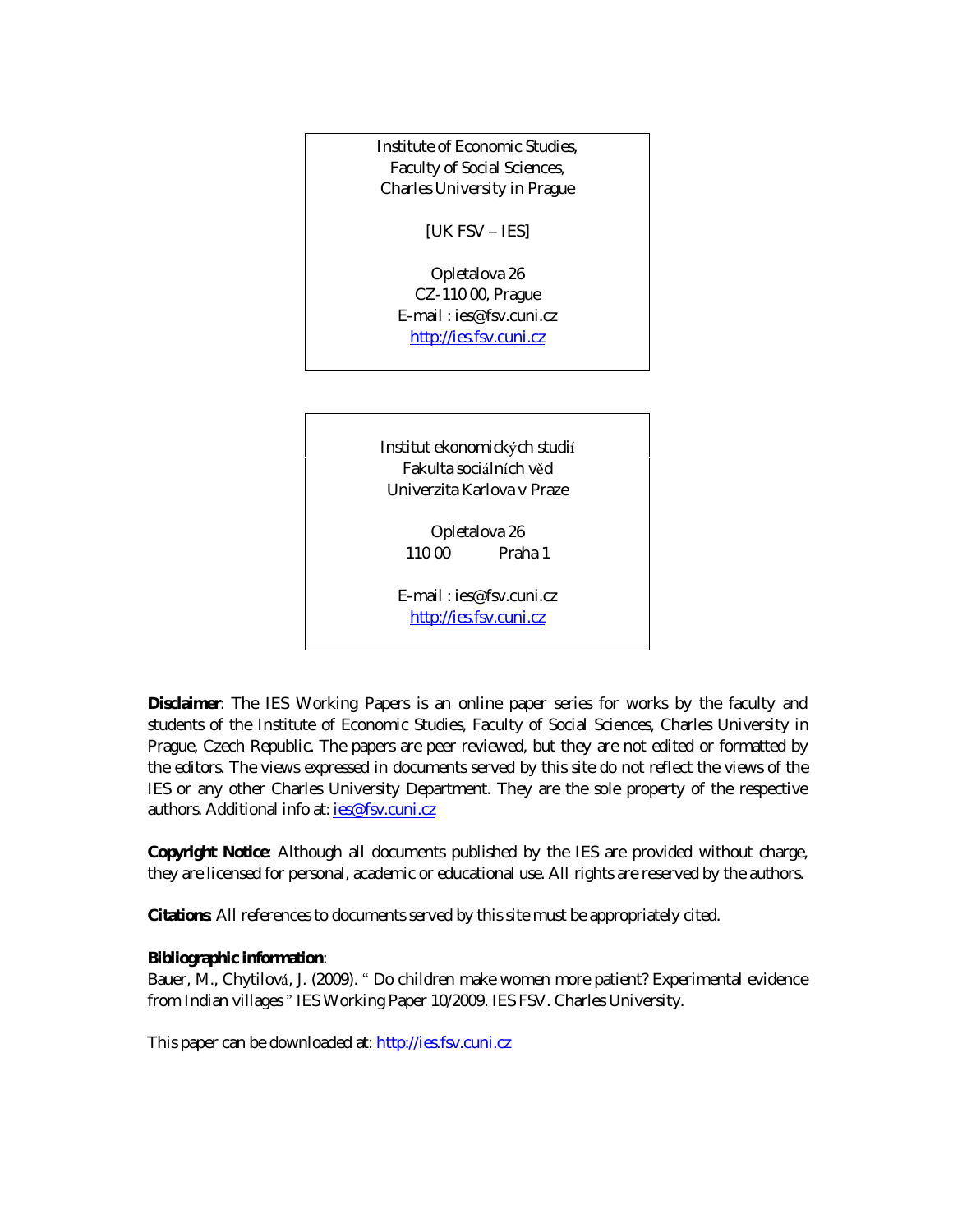Institute of Economic Studies, Faculty of Social Sciences, Charles University in Prague

[UK FSV – IES]

Opletalova 26 CZ-110 00, Prague E-mail : ies@fsv.cuni.cz http://ies.fsv.cuni.cz

Institut ekonomických studií Fakulta sociá lních věd Univerzita Karlova v Praze

> Opletalova 26 110 00 Praha 1

E-mail : ies@fsv.cuni.cz http://ies.fsv.cuni.cz

**Disclaimer**: The IES Working Papers is an online paper series for works by the faculty and students of the Institute of Economic Studies, Faculty of Social Sciences, Charles University in Prague, Czech Republic. The papers are peer reviewed, but they are *not* edited or formatted by the editors. The views expressed in documents served by this site do not reflect the views of the IES or any other Charles University Department. They are the sole property of the respective authors. Additional info at: ies@fsv.cuni.cz

**Copyright Notice**: Although all documents published by the IES are provided without charge, they are licensed for personal, academic or educational use. All rights are reserved by the authors.

**Citations**: All references to documents served by this site must be appropriately cited.

**Bibliographic information**:

Bauer, M., Chytilová , J. (2009). " Do children make women more patient? Experimental evidence from Indian villages " IES Working Paper 10/2009. IES FSV. Charles University.

This paper can be downloaded at: http://ies.fsv.cuni.cz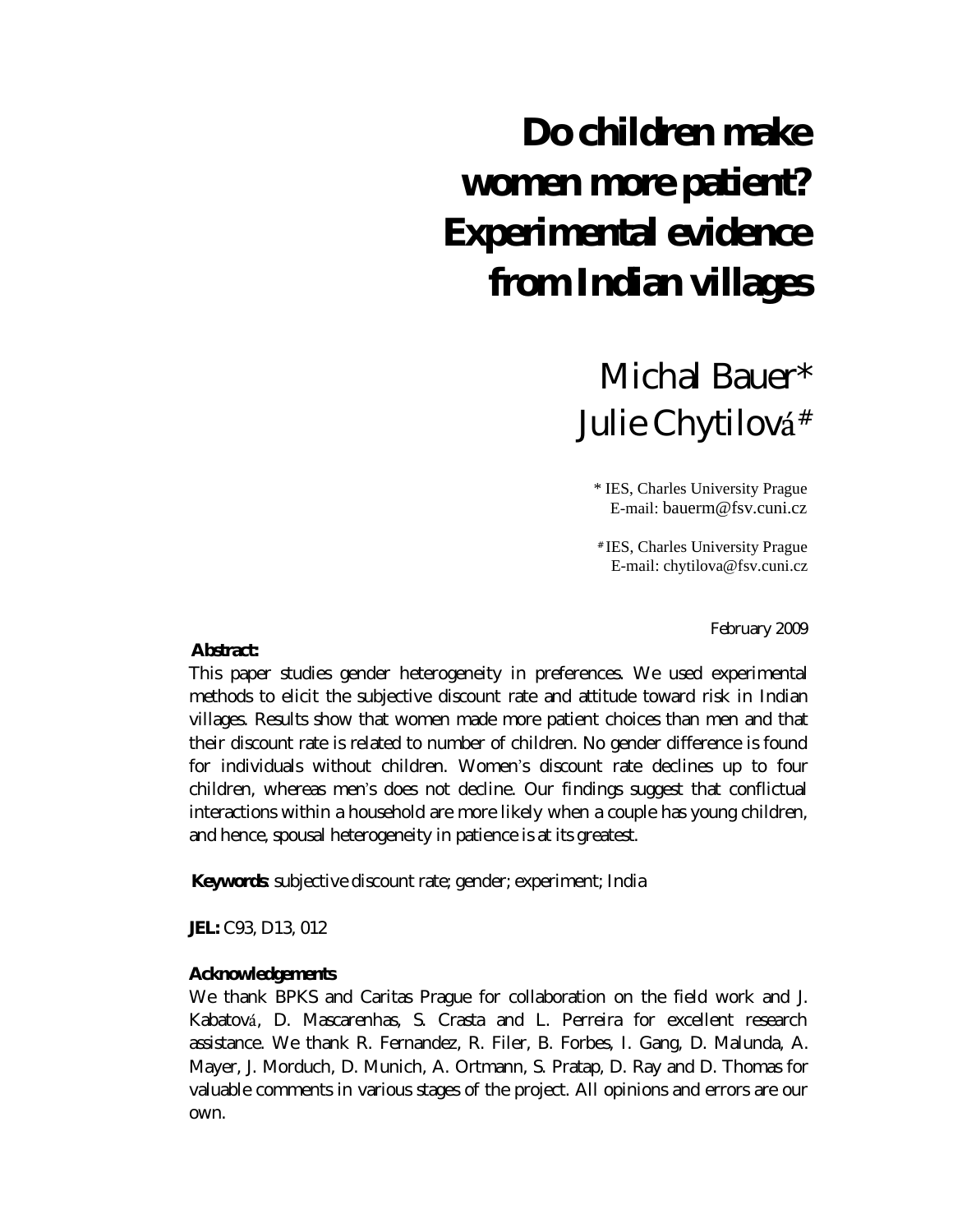## **Do children make women more patient? Experimental evidence from Indian villages**

## Michal Bauer\* Julie Chytilová #

\* IES, Charles University Prague E-mail: bauerm@fsv.cuni.cz

# IES, Charles University Prague E-mail: chytilova@fsv.cuni.cz

February 2009

**Abstract:**

This paper studies gender heterogeneity in preferences. We used experimental methods to elicit the subjective discount rate and attitude toward risk in Indian villages. Results show that women made more patient choices than men and that their discount rate is related to number of children. No gender difference is found for individuals without children. Women's discount rate declines up to four children, whereas men's does not decline. Our findings suggest that conflictual interactions within a household are more likely when a couple has young children, and hence, spousal heterogeneity in patience is at its greatest.

**Keywords**: subjective discount rate; gender; experiment; India

**JEL:** C93, D13, 012

#### **Acknowledgements**

We thank BPKS and Caritas Prague for collaboration on the field work and J. Kabatová , D. Mascarenhas, S. Crasta and L. Perreira for excellent research assistance. We thank R. Fernandez, R. Filer, B. Forbes, I. Gang, D. Malunda, A. Mayer, J. Morduch, D. Munich, A. Ortmann, S. Pratap, D. Ray and D. Thomas for valuable comments in various stages of the project. All opinions and errors are our own.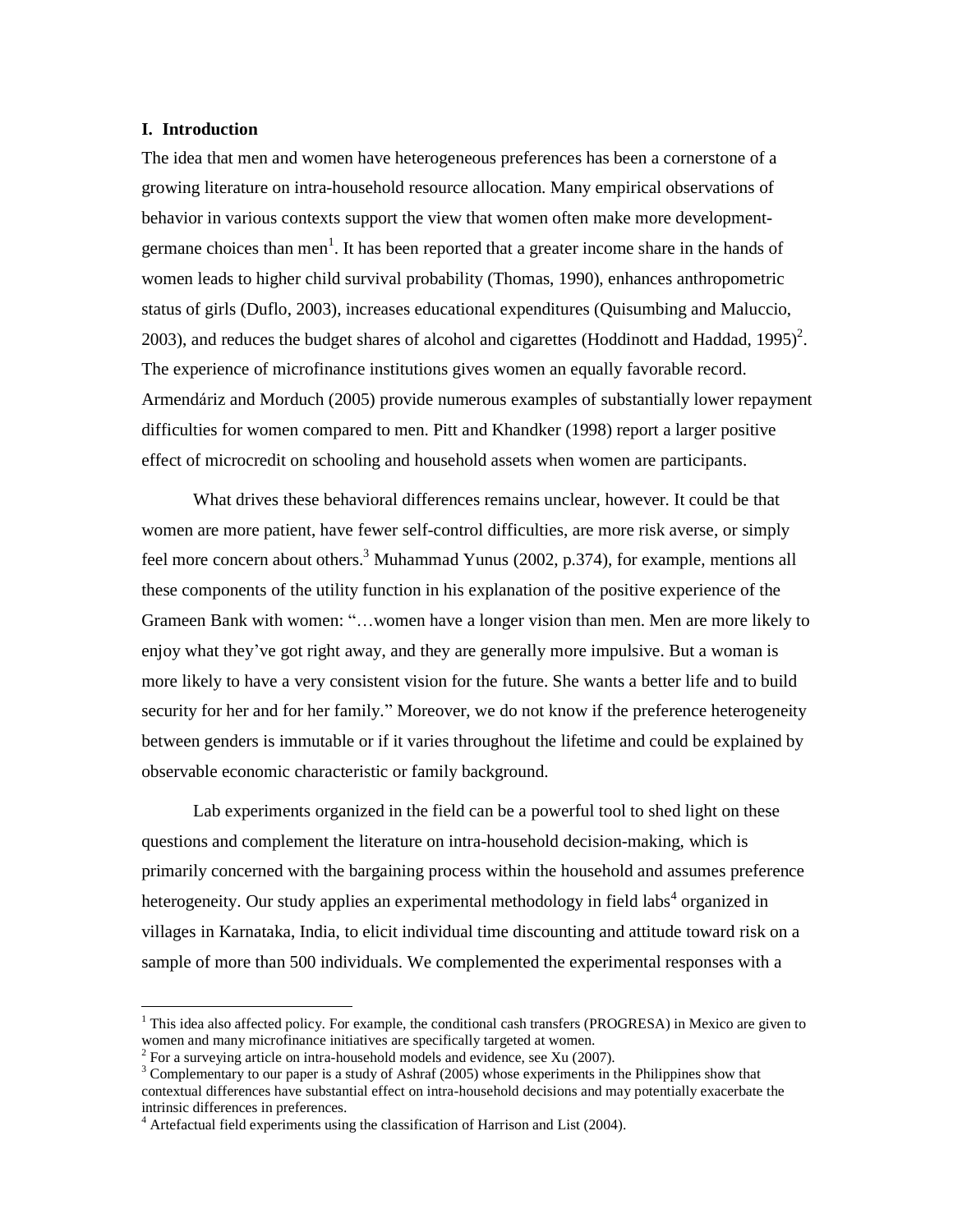#### **I. Introduction**

-

The idea that men and women have heterogeneous preferences has been a cornerstone of a growing literature on intra-household resource allocation. Many empirical observations of behavior in various contexts support the view that women often make more developmentgermane choices than men<sup>1</sup>. It has been reported that a greater income share in the hands of women leads to higher child survival probability (Thomas, 1990), enhances anthropometric status of girls (Duflo, 2003), increases educational expenditures (Quisumbing and Maluccio, 2003), and reduces the budget shares of alcohol and cigarettes (Hoddinott and Haddad, 1995)<sup>2</sup>. The experience of microfinance institutions gives women an equally favorable record. Armendáriz and Morduch (2005) provide numerous examples of substantially lower repayment difficulties for women compared to men. Pitt and Khandker (1998) report a larger positive effect of microcredit on schooling and household assets when women are participants.

What drives these behavioral differences remains unclear, however. It could be that women are more patient, have fewer self-control difficulties, are more risk averse, or simply feel more concern about others.<sup>3</sup> Muhammad Yunus (2002, p.374), for example, mentions all these components of the utility function in his explanation of the positive experience of the Grameen Bank with women: "… women have a longer vision than men. Men are more likely to enjoy what they've got right away, and they are generally more impulsive. But a woman is more likely to have a very consistent vision for the future. She wants a better life and to build security for her and for her family." Moreover, we do not know if the preference heterogeneity between genders is immutable or if it varies throughout the lifetime and could be explained by observable economic characteristic or family background.

Lab experiments organized in the field can be a powerful tool to shed light on these questions and complement the literature on intra-household decision-making, which is primarily concerned with the bargaining process within the household and assumes preference heterogeneity. Our study applies an experimental methodology in field labs<sup>4</sup> organized in villages in Karnataka, India, to elicit individual time discounting and attitude toward risk on a sample of more than 500 individuals. We complemented the experimental responses with a

<sup>&</sup>lt;sup>1</sup> This idea also affected policy. For example, the conditional cash transfers (PROGRESA) in Mexico are given to women and many microfinance initiatives are specifically targeted at women.

 $2^2$  For a surveying article on intra-household models and evidence, see Xu (2007).

<sup>3</sup> Complementary to our paper is a study of Ashraf (2005) whose experiments in the Philippines show that contextual differences have substantial effect on intra-household decisions and may potentially exacerbate the intrinsic differences in preferences.

<sup>&</sup>lt;sup>4</sup> Artefactual field experiments using the classification of Harrison and List (2004).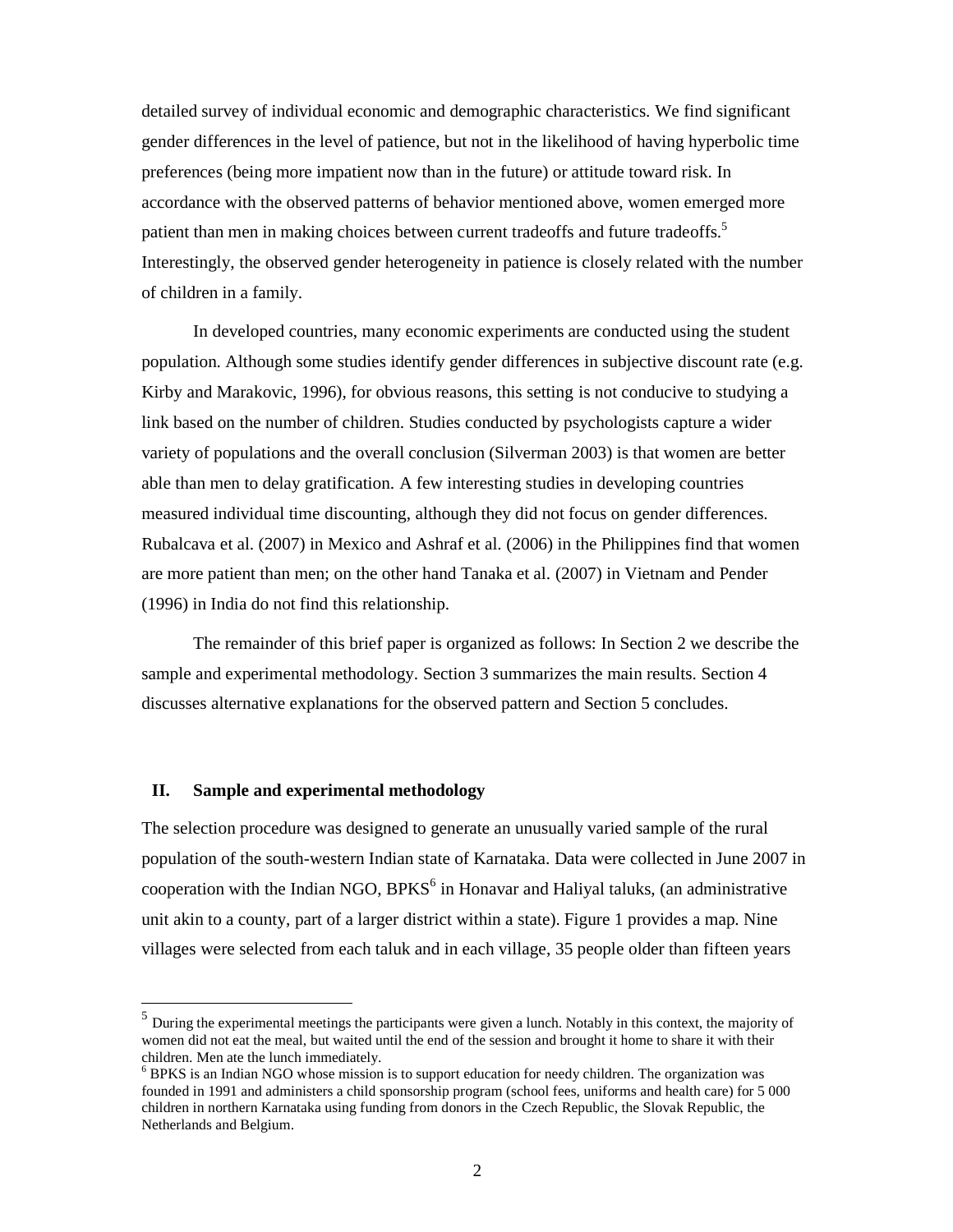detailed survey of individual economic and demographic characteristics. We find significant gender differences in the level of patience, but not in the likelihood of having hyperbolic time preferences (being more impatient now than in the future) or attitude toward risk. In accordance with the observed patterns of behavior mentioned above, women emerged more patient than men in making choices between current tradeoffs and future tradeoffs.<sup>5</sup> Interestingly, the observed gender heterogeneity in patience is closely related with the number of children in a family.

In developed countries, many economic experiments are conducted using the student population. Although some studies identify gender differences in subjective discount rate (e.g. Kirby and Marakovic, 1996), for obvious reasons, this setting is not conducive to studying a link based on the number of children. Studies conducted by psychologists capture a wider variety of populations and the overall conclusion (Silverman 2003) is that women are better able than men to delay gratification. A few interesting studies in developing countries measured individual time discounting, although they did not focus on gender differences. Rubalcava et al. (2007) in Mexico and Ashraf et al. (2006) in the Philippines find that women are more patient than men; on the other hand Tanaka et al. (2007) in Vietnam and Pender (1996) in India do not find this relationship.

The remainder of this brief paper is organized as follows: In Section 2 we describe the sample and experimental methodology. Section 3 summarizes the main results. Section 4 discusses alternative explanations for the observed pattern and Section 5 concludes.

#### **II. Sample and experimental methodology**

-

The selection procedure was designed to generate an unusually varied sample of the rural population of the south-western Indian state of Karnataka. Data were collected in June 2007 in cooperation with the Indian NGO,  $BPKS<sup>6</sup>$  in Honavar and Haliyal taluks, (an administrative unit akin to a county, part of a larger district within a state). Figure 1 provides a map. Nine villages were selected from each taluk and in each village, 35 people older than fifteen years

<sup>&</sup>lt;sup>5</sup> During the experimental meetings the participants were given a lunch. Notably in this context, the majority of women did not eat the meal, but waited until the end of the session and brought it home to share it with their children. Men ate the lunch immediately.

<sup>&</sup>lt;sup>6</sup> BPKS is an Indian NGO whose mission is to support education for needy children. The organization was founded in 1991 and administers a child sponsorship program (school fees, uniforms and health care) for 5 000 children in northern Karnataka using funding from donors in the Czech Republic, the Slovak Republic, the Netherlands and Belgium.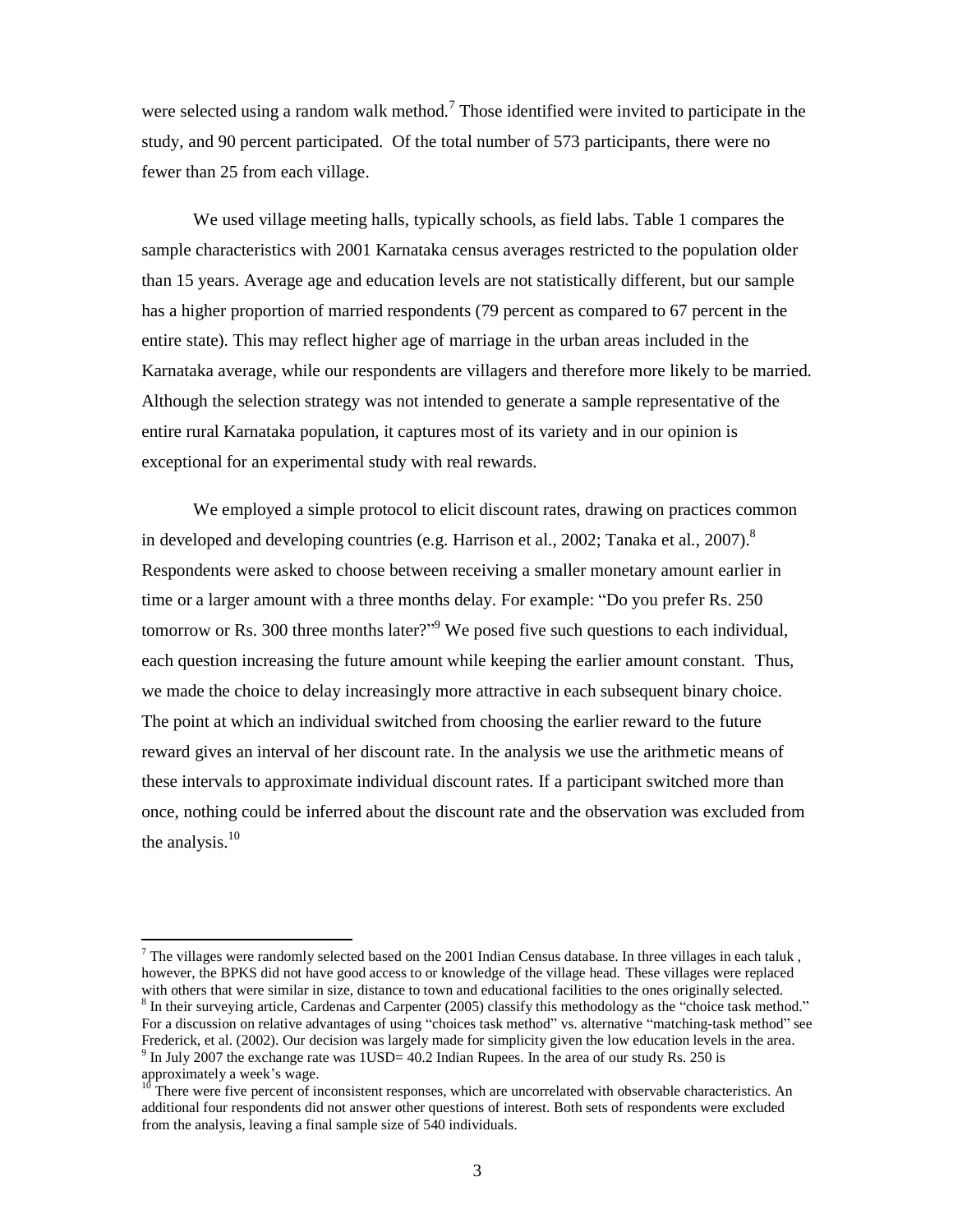were selected using a random walk method.<sup>7</sup> Those identified were invited to participate in the study, and 90 percent participated. Of the total number of 573 participants, there were no fewer than 25 from each village.

We used village meeting halls, typically schools, as field labs. Table 1 compares the sample characteristics with 2001 Karnataka census averages restricted to the population older than 15 years. Average age and education levels are not statistically different, but our sample has a higher proportion of married respondents (79 percent as compared to 67 percent in the entire state). This may reflect higher age of marriage in the urban areas included in the Karnataka average, while our respondents are villagers and therefore more likely to be married. Although the selection strategy was not intended to generate a sample representative of the entire rural Karnataka population, it captures most of its variety and in our opinion is exceptional for an experimental study with real rewards.

We employed a simple protocol to elicit discount rates, drawing on practices common in developed and developing countries (e.g. Harrison et al., 2002; Tanaka et al., 2007).<sup>8</sup> Respondents were asked to choose between receiving a smaller monetary amount earlier in time or a larger amount with a three months delay. For example: "Do you prefer Rs. 250 tomorrow or Rs. 300 three months later?<sup>" 9</sup> We posed five such questions to each individual, each question increasing the future amount while keeping the earlier amount constant. Thus, we made the choice to delay increasingly more attractive in each subsequent binary choice. The point at which an individual switched from choosing the earlier reward to the future reward gives an interval of her discount rate. In the analysis we use the arithmetic means of these intervals to approximate individual discount rates. If a participant switched more than once, nothing could be inferred about the discount rate and the observation was excluded from the analysis. $10$ 

-

<sup>&</sup>lt;sup>7</sup> The villages were randomly selected based on the 2001 Indian Census database. In three villages in each taluk, however, the BPKS did not have good access to or knowledge of the village head. These villages were replaced with others that were similar in size, distance to town and educational facilities to the ones originally selected.

<sup>&</sup>lt;sup>8</sup> In their surveying article, Cardenas and Carpenter (2005) classify this methodology as the "choice task method." For a discussion on relative advantages of using "choices task method" vs. alternative "matching-task method" see Frederick, et al. (2002). Our decision was largely made for simplicity given the low education levels in the area.  $9$  In July 2007 the exchange rate was 1USD= 40.2 Indian Rupees. In the area of our study Rs. 250 is

approximately a week's wage.

 $10$ <sup>10</sup> There were five percent of inconsistent responses, which are uncorrelated with observable characteristics. An additional four respondents did not answer other questions of interest. Both sets of respondents were excluded from the analysis, leaving a final sample size of 540 individuals.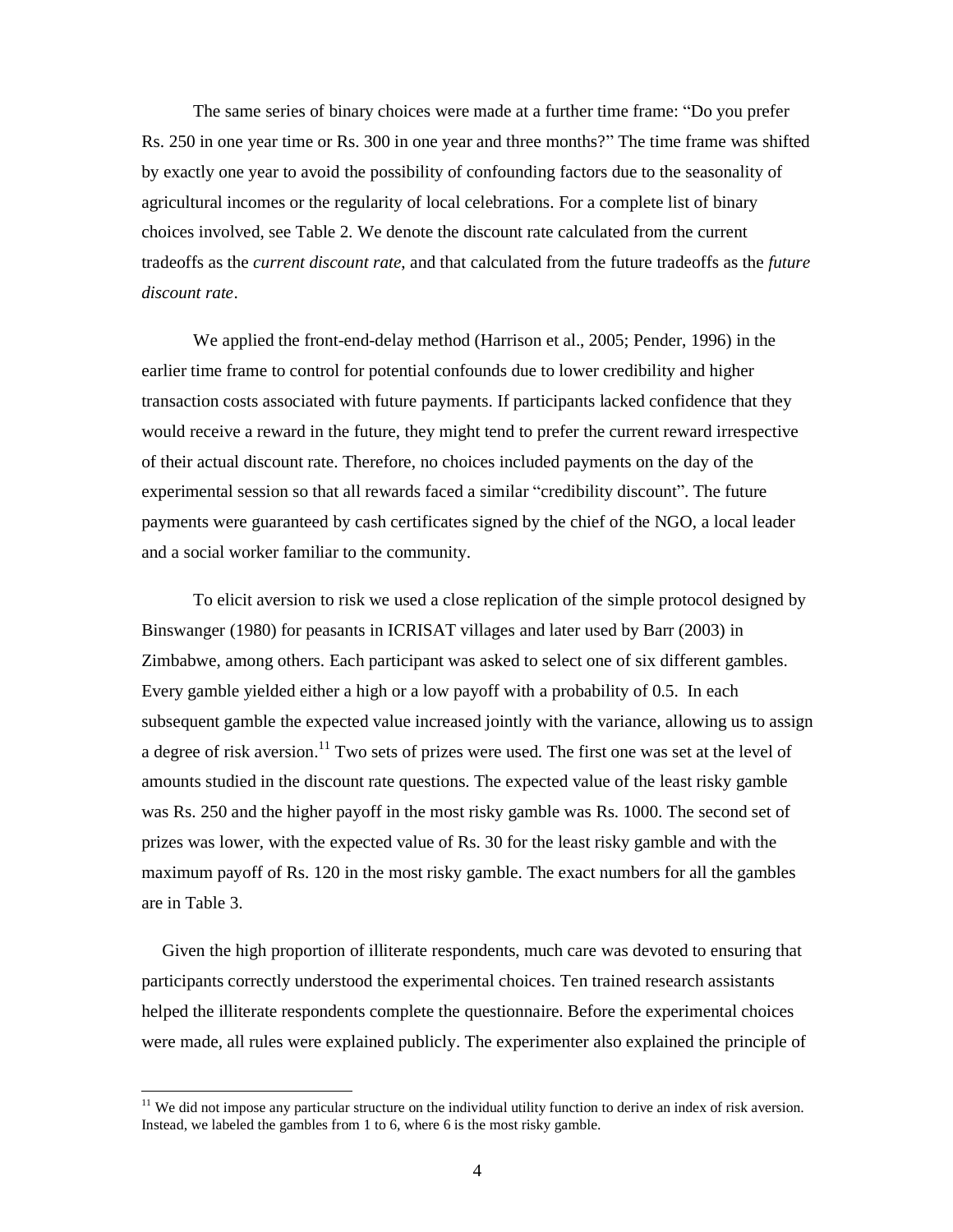The same series of binary choices were made at a further time frame: "Do you prefer Rs. 250 in one year time or Rs. 300 in one year and three months?" The time frame was shifted by exactly one year to avoid the possibility of confounding factors due to the seasonality of agricultural incomes or the regularity of local celebrations. For a complete list of binary choices involved, see Table 2. We denote the discount rate calculated from the current tradeoffs as the *current discount rate*, and that calculated from the future tradeoffs as the *future discount rate*.

We applied the front-end-delay method (Harrison et al., 2005; Pender, 1996) in the earlier time frame to control for potential confounds due to lower credibility and higher transaction costs associated with future payments. If participants lacked confidence that they would receive a reward in the future, they might tend to prefer the current reward irrespective of their actual discount rate. Therefore, no choices included payments on the day of the experimental session so that all rewards faced a similar "credibility discount". The future payments were guaranteed by cash certificates signed by the chief of the NGO, a local leader and a social worker familiar to the community.

To elicit aversion to risk we used a close replication of the simple protocol designed by Binswanger (1980) for peasants in ICRISAT villages and later used by Barr (2003) in Zimbabwe, among others. Each participant was asked to select one of six different gambles. Every gamble yielded either a high or a low payoff with a probability of 0.5. In each subsequent gamble the expected value increased jointly with the variance, allowing us to assign a degree of risk aversion.<sup>11</sup> Two sets of prizes were used. The first one was set at the level of amounts studied in the discount rate questions. The expected value of the least risky gamble was Rs. 250 and the higher payoff in the most risky gamble was Rs. 1000. The second set of prizes was lower, with the expected value of Rs. 30 for the least risky gamble and with the maximum payoff of Rs. 120 in the most risky gamble. The exact numbers for all the gambles are in Table 3.

Given the high proportion of illiterate respondents, much care was devoted to ensuring that participants correctly understood the experimental choices. Ten trained research assistants helped the illiterate respondents complete the questionnaire. Before the experimental choices were made, all rules were explained publicly. The experimenter also explained the principle of

-

<sup>&</sup>lt;sup>11</sup> We did not impose any particular structure on the individual utility function to derive an index of risk aversion. Instead, we labeled the gambles from 1 to 6, where 6 is the most risky gamble.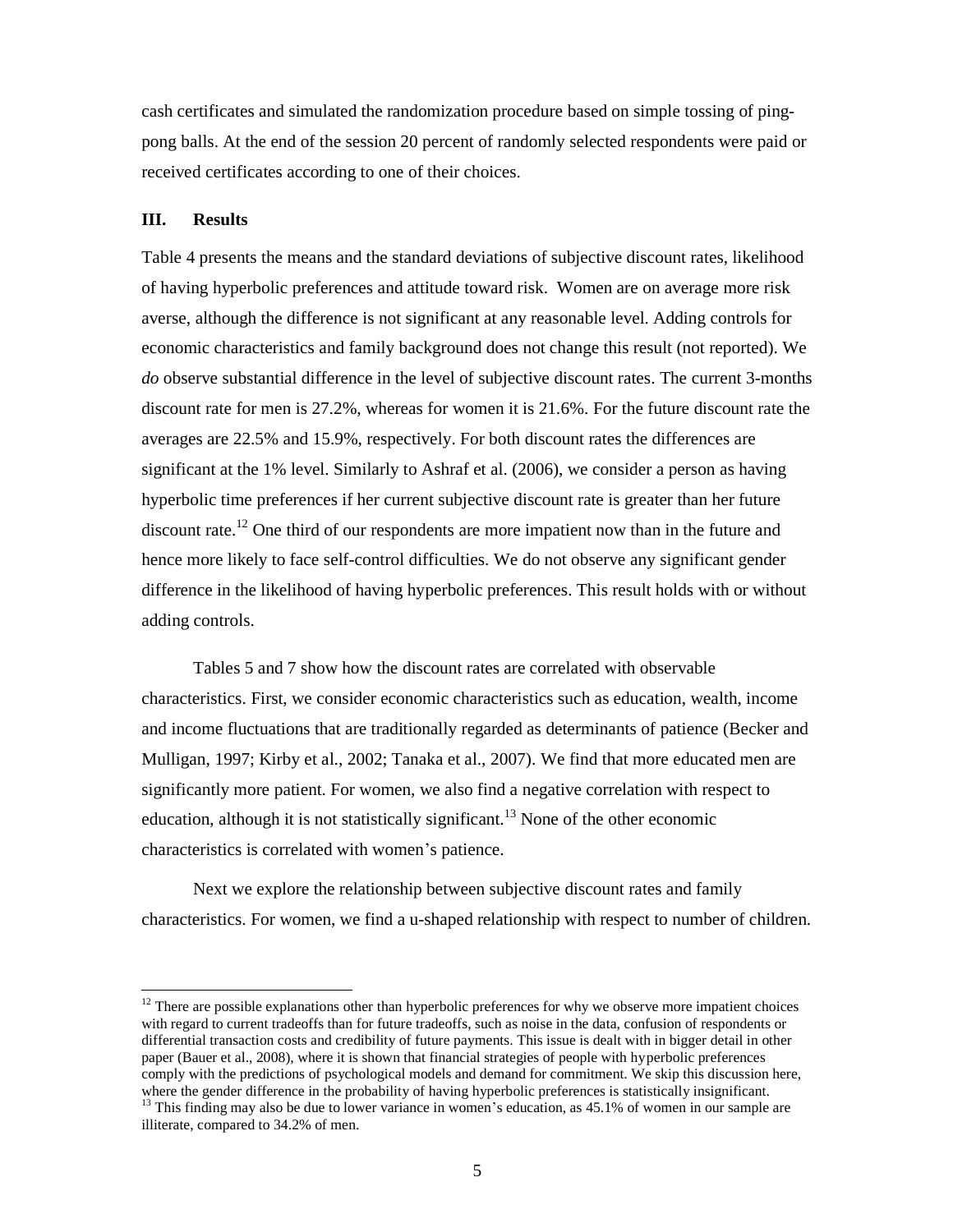cash certificates and simulated the randomization procedure based on simple tossing of pingpong balls. At the end of the session 20 percent of randomly selected respondents were paid or received certificates according to one of their choices.

#### **III. Results**

-

Table 4 presents the means and the standard deviations of subjective discount rates, likelihood of having hyperbolic preferences and attitude toward risk. Women are on average more risk averse, although the difference is not significant at any reasonable level. Adding controls for economic characteristics and family background does not change this result (not reported). We *do* observe substantial difference in the level of subjective discount rates. The current 3-months discount rate for men is 27.2%, whereas for women it is 21.6%. For the future discount rate the averages are 22.5% and 15.9%, respectively. For both discount rates the differences are significant at the 1% level. Similarly to Ashraf et al. (2006), we consider a person as having hyperbolic time preferences if her current subjective discount rate is greater than her future discount rate.<sup>12</sup> One third of our respondents are more impatient now than in the future and hence more likely to face self-control difficulties. We do not observe any significant gender difference in the likelihood of having hyperbolic preferences. This result holds with or without adding controls.

Tables 5 and 7 show how the discount rates are correlated with observable characteristics. First, we consider economic characteristics such as education, wealth, income and income fluctuations that are traditionally regarded as determinants of patience (Becker and Mulligan, 1997; Kirby et al., 2002; Tanaka et al., 2007). We find that more educated men are significantly more patient. For women, we also find a negative correlation with respect to education, although it is not statistically significant.<sup>13</sup> None of the other economic characteristics is correlated with women's patience.

Next we explore the relationship between subjective discount rates and family characteristics. For women, we find a u-shaped relationship with respect to number of children.

<sup>&</sup>lt;sup>12</sup> There are possible explanations other than hyperbolic preferences for why we observe more impatient choices with regard to current tradeoffs than for future tradeoffs, such as noise in the data, confusion of respondents or differential transaction costs and credibility of future payments. This issue is dealt with in bigger detail in other paper (Bauer et al., 2008), where it is shown that financial strategies of people with hyperbolic preferences comply with the predictions of psychological models and demand for commitment. We skip this discussion here, where the gender difference in the probability of having hyperbolic preferences is statistically insignificant.  $13$  This finding may also be due to lower variance in women's education, as  $45.1\%$  of women in our sample are illiterate, compared to 34.2% of men.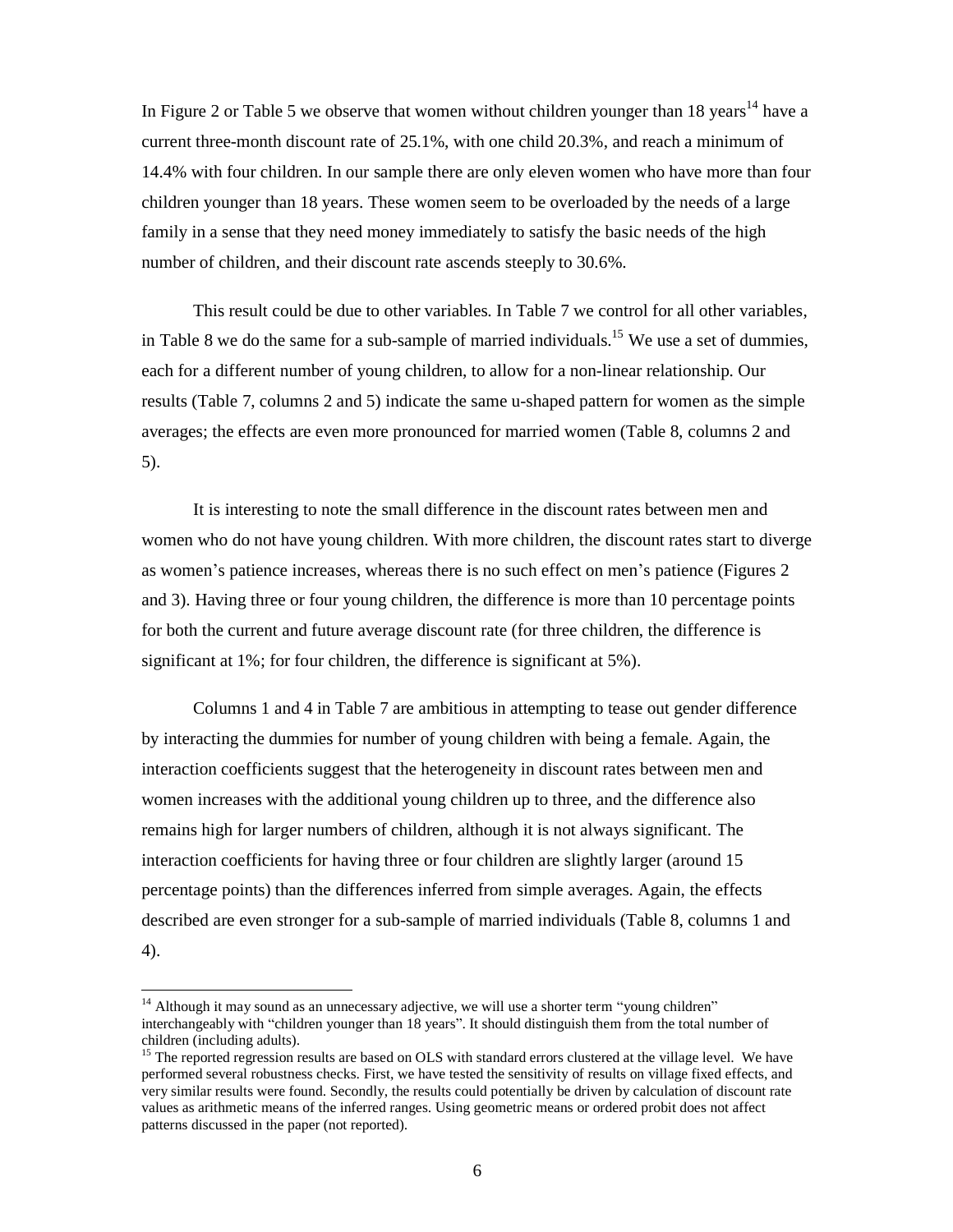In Figure 2 or Table 5 we observe that women without children younger than 18 years<sup>14</sup> have a current three-month discount rate of 25.1%, with one child 20.3%, and reach a minimum of 14.4% with four children. In our sample there are only eleven women who have more than four children younger than 18 years. These women seem to be overloaded by the needs of a large family in a sense that they need money immediately to satisfy the basic needs of the high number of children, and their discount rate ascends steeply to 30.6%.

This result could be due to other variables. In Table 7 we control for all other variables, in Table 8 we do the same for a sub-sample of married individuals.<sup>15</sup> We use a set of dummies, each for a different number of young children, to allow for a non-linear relationship. Our results (Table 7, columns 2 and 5) indicate the same u-shaped pattern for women as the simple averages; the effects are even more pronounced for married women (Table 8, columns 2 and 5).

It is interesting to note the small difference in the discount rates between men and women who do not have young children. With more children, the discount rates start to diverge as women's patience increases, whereas there is no such effect on men's patience (Figures 2 and 3). Having three or four young children, the difference is more than 10 percentage points for both the current and future average discount rate (for three children, the difference is significant at 1%; for four children, the difference is significant at 5%).

Columns 1 and 4 in Table 7 are ambitious in attempting to tease out gender difference by interacting the dummies for number of young children with being a female. Again, the interaction coefficients suggest that the heterogeneity in discount rates between men and women increases with the additional young children up to three, and the difference also remains high for larger numbers of children, although it is not always significant. The interaction coefficients for having three or four children are slightly larger (around 15 percentage points) than the differences inferred from simple averages. Again, the effects described are even stronger for a sub-sample of married individuals (Table 8, columns 1 and 4).

-

<sup>&</sup>lt;sup>14</sup> Although it may sound as an unnecessary adjective, we will use a shorter term "young children" interchangeably with "children younger than 18 years". It should distinguish them from the total number of children (including adults).

<sup>&</sup>lt;sup>15</sup> The reported regression results are based on OLS with standard errors clustered at the village level. We have performed several robustness checks. First, we have tested the sensitivity of results on village fixed effects, and very similar results were found. Secondly, the results could potentially be driven by calculation of discount rate values as arithmetic means of the inferred ranges. Using geometric means or ordered probit does not affect patterns discussed in the paper (not reported).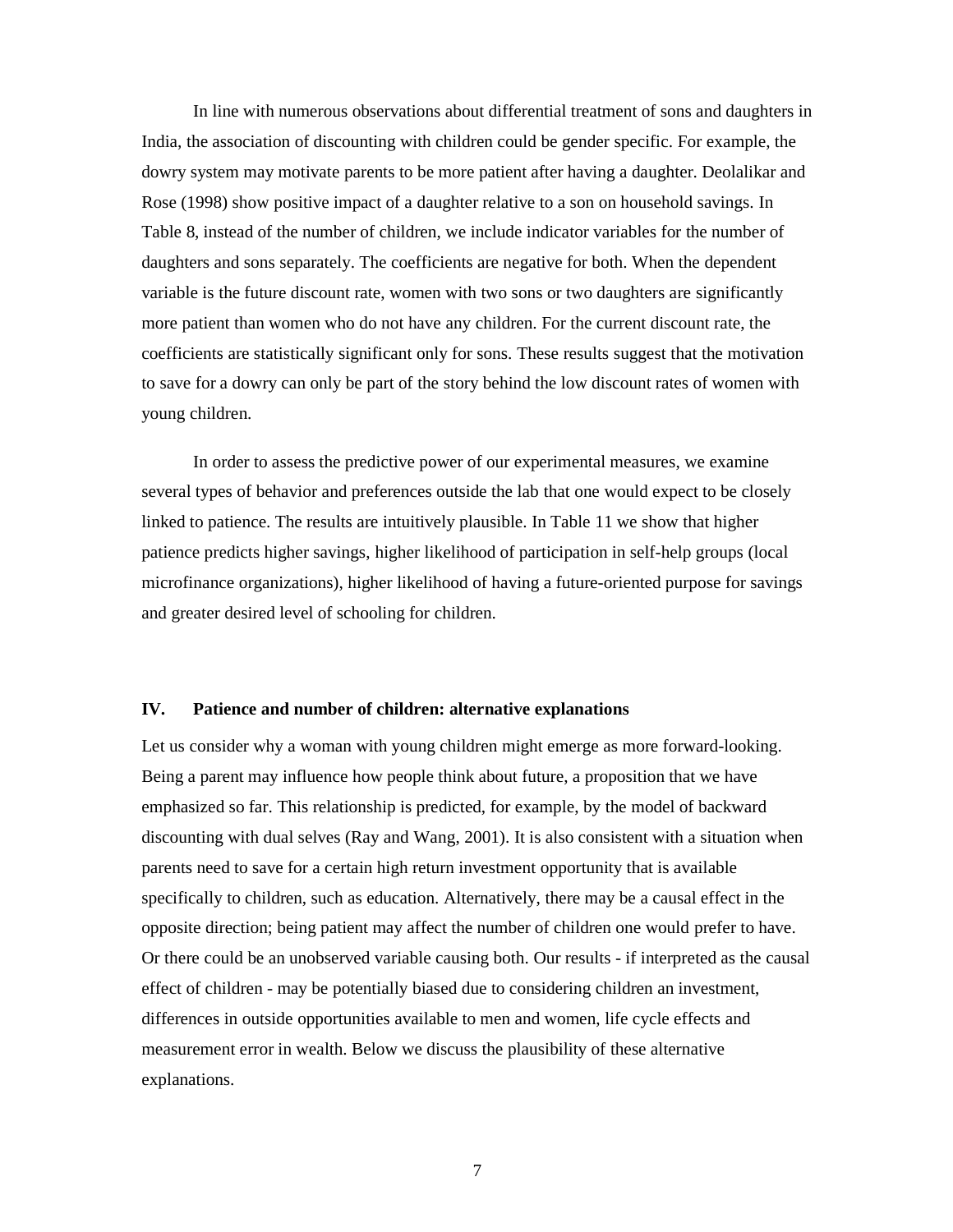In line with numerous observations about differential treatment of sons and daughters in India, the association of discounting with children could be gender specific. For example, the dowry system may motivate parents to be more patient after having a daughter. Deolalikar and Rose (1998) show positive impact of a daughter relative to a son on household savings. In Table 8, instead of the number of children, we include indicator variables for the number of daughters and sons separately. The coefficients are negative for both. When the dependent variable is the future discount rate, women with two sons or two daughters are significantly more patient than women who do not have any children. For the current discount rate, the coefficients are statistically significant only for sons. These results suggest that the motivation to save for a dowry can only be part of the story behind the low discount rates of women with young children.

In order to assess the predictive power of our experimental measures, we examine several types of behavior and preferences outside the lab that one would expect to be closely linked to patience. The results are intuitively plausible. In Table 11 we show that higher patience predicts higher savings, higher likelihood of participation in self-help groups (local microfinance organizations), higher likelihood of having a future-oriented purpose for savings and greater desired level of schooling for children.

### **IV. Patience and number of children: alternative explanations**

Let us consider why a woman with young children might emerge as more forward-looking. Being a parent may influence how people think about future, a proposition that we have emphasized so far. This relationship is predicted, for example, by the model of backward discounting with dual selves (Ray and Wang, 2001). It is also consistent with a situation when parents need to save for a certain high return investment opportunity that is available specifically to children, such as education. Alternatively, there may be a causal effect in the opposite direction; being patient may affect the number of children one would prefer to have. Or there could be an unobserved variable causing both. Our results - if interpreted as the causal effect of children - may be potentially biased due to considering children an investment, differences in outside opportunities available to men and women, life cycle effects and measurement error in wealth. Below we discuss the plausibility of these alternative explanations.

7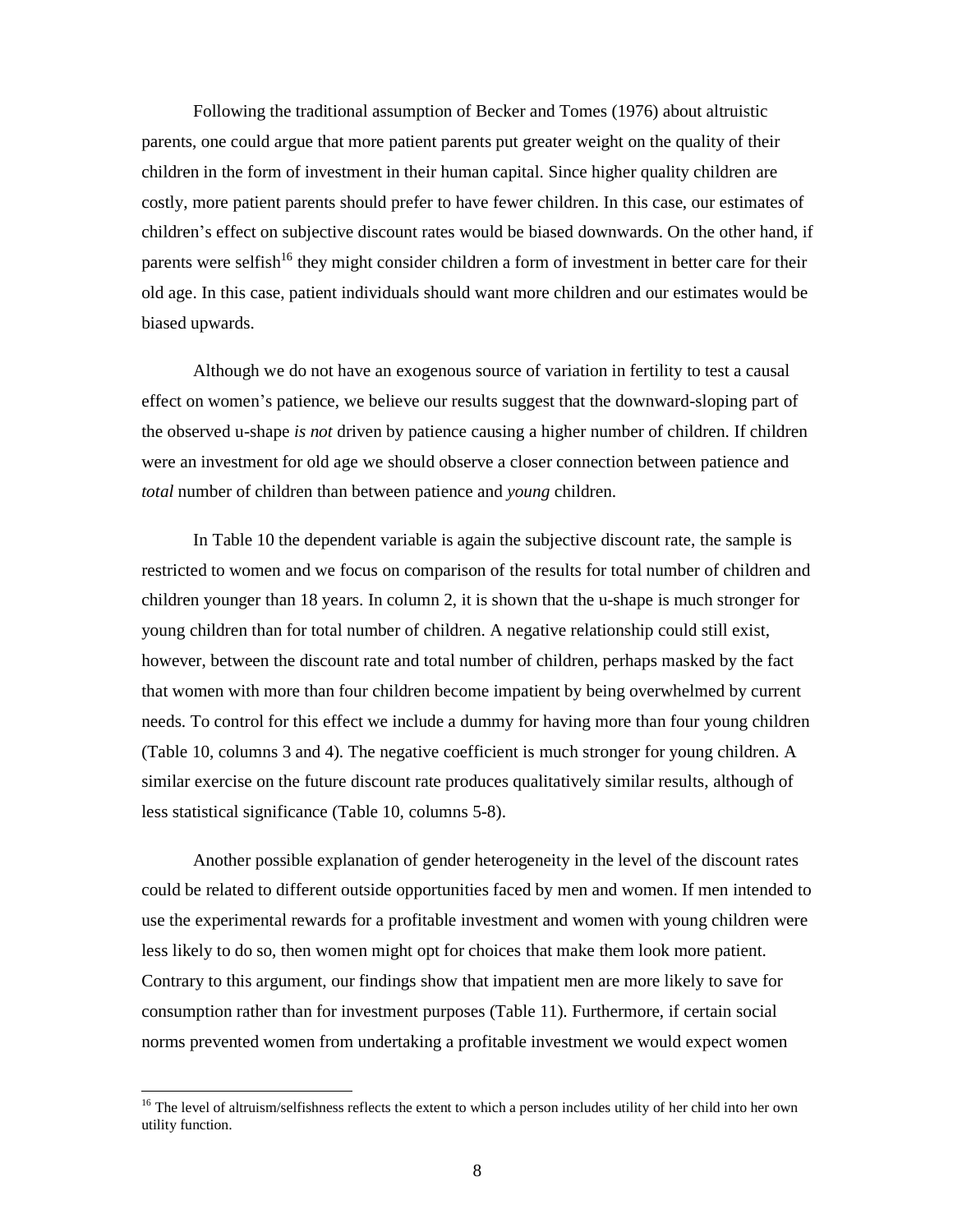Following the traditional assumption of Becker and Tomes (1976) about altruistic parents, one could argue that more patient parents put greater weight on the quality of their children in the form of investment in their human capital. Since higher quality children are costly, more patient parents should prefer to have fewer children. In this case, our estimates of children's effect on subjective discount rates would be biased downwards. On the other hand, if parents were selfish<sup>16</sup> they might consider children a form of investment in better care for their old age. In this case, patient individuals should want more children and our estimates would be biased upwards.

Although we do not have an exogenous source of variation in fertility to test a causal effect on women's patience, we believe our results suggest that the downward-sloping part of the observed u-shape *is not* driven by patience causing a higher number of children. If children were an investment for old age we should observe a closer connection between patience and *total* number of children than between patience and *young* children.

In Table 10 the dependent variable is again the subjective discount rate, the sample is restricted to women and we focus on comparison of the results for total number of children and children younger than 18 years. In column 2, it is shown that the u-shape is much stronger for young children than for total number of children. A negative relationship could still exist, however, between the discount rate and total number of children, perhaps masked by the fact that women with more than four children become impatient by being overwhelmed by current needs. To control for this effect we include a dummy for having more than four young children (Table 10, columns 3 and 4). The negative coefficient is much stronger for young children. A similar exercise on the future discount rate produces qualitatively similar results, although of less statistical significance (Table 10, columns 5-8).

Another possible explanation of gender heterogeneity in the level of the discount rates could be related to different outside opportunities faced by men and women. If men intended to use the experimental rewards for a profitable investment and women with young children were less likely to do so, then women might opt for choices that make them look more patient. Contrary to this argument, our findings show that impatient men are more likely to save for consumption rather than for investment purposes (Table 11). Furthermore, if certain social norms prevented women from undertaking a profitable investment we would expect women

-

<sup>&</sup>lt;sup>16</sup> The level of altruism/selfishness reflects the extent to which a person includes utility of her child into her own utility function.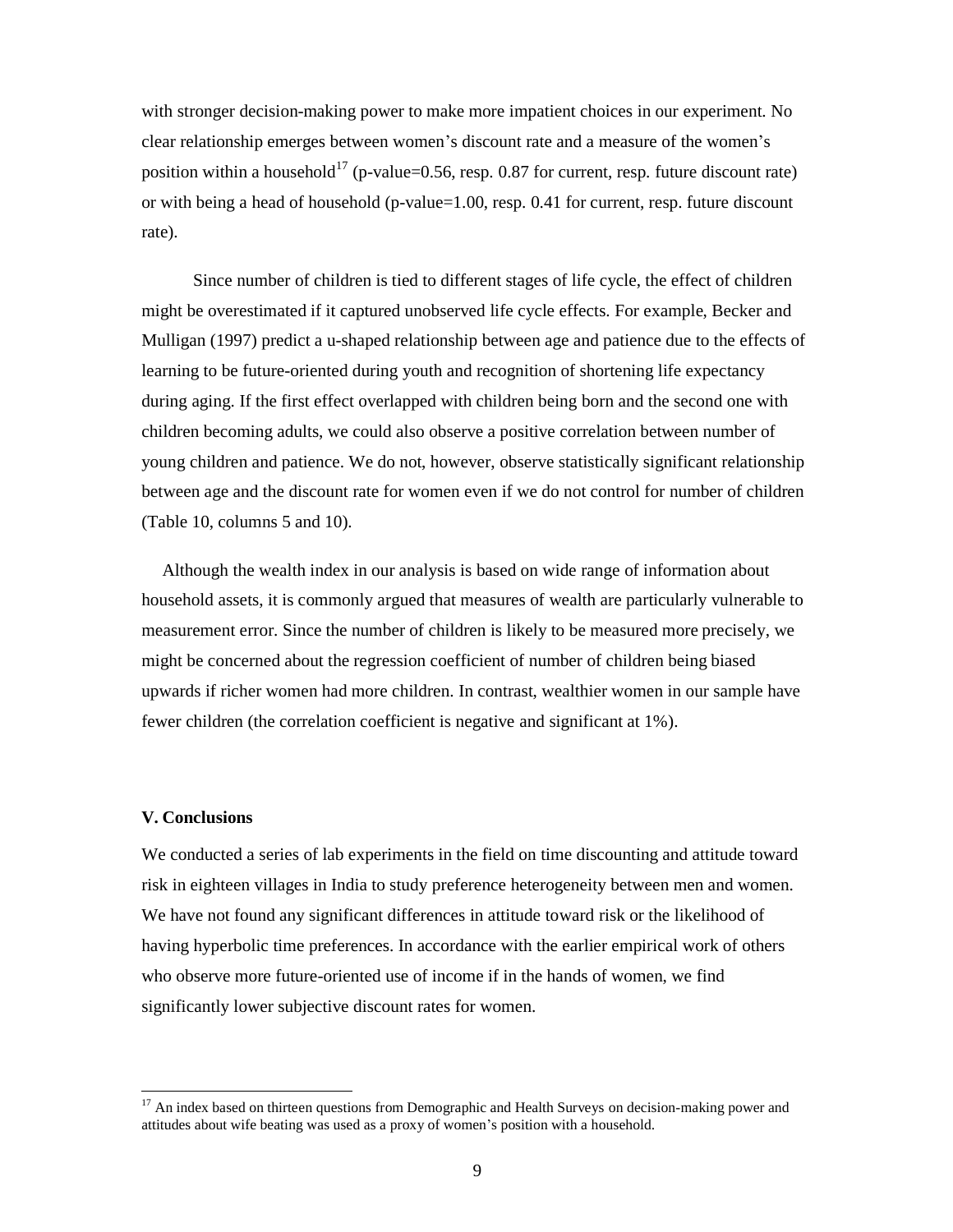with stronger decision-making power to make more impatient choices in our experiment. No clear relationship emerges between women's discount rate and a measure of the women's position within a household<sup>17</sup> (p-value=0.56, resp. 0.87 for current, resp. future discount rate) or with being a head of household (p-value=1.00, resp. 0.41 for current, resp. future discount rate).

Since number of children is tied to different stages of life cycle, the effect of children might be overestimated if it captured unobserved life cycle effects. For example, Becker and Mulligan (1997) predict a u-shaped relationship between age and patience due to the effects of learning to be future-oriented during youth and recognition of shortening life expectancy during aging. If the first effect overlapped with children being born and the second one with children becoming adults, we could also observe a positive correlation between number of young children and patience. We do not, however, observe statistically significant relationship between age and the discount rate for women even if we do not control for number of children (Table 10, columns 5 and 10).

Although the wealth index in our analysis is based on wide range of information about household assets, it is commonly argued that measures of wealth are particularly vulnerable to measurement error. Since the number of children is likely to be measured more precisely, we might be concerned about the regression coefficient of number of children being biased upwards if richer women had more children. In contrast, wealthier women in our sample have fewer children (the correlation coefficient is negative and significant at 1%).

#### **V. Conclusions**

-

We conducted a series of lab experiments in the field on time discounting and attitude toward risk in eighteen villages in India to study preference heterogeneity between men and women. We have not found any significant differences in attitude toward risk or the likelihood of having hyperbolic time preferences. In accordance with the earlier empirical work of others who observe more future-oriented use of income if in the hands of women, we find significantly lower subjective discount rates for women.

<sup>&</sup>lt;sup>17</sup> An index based on thirteen questions from Demographic and Health Surveys on decision-making power and attitudes about wife beating was used as a proxy of women's position with a household.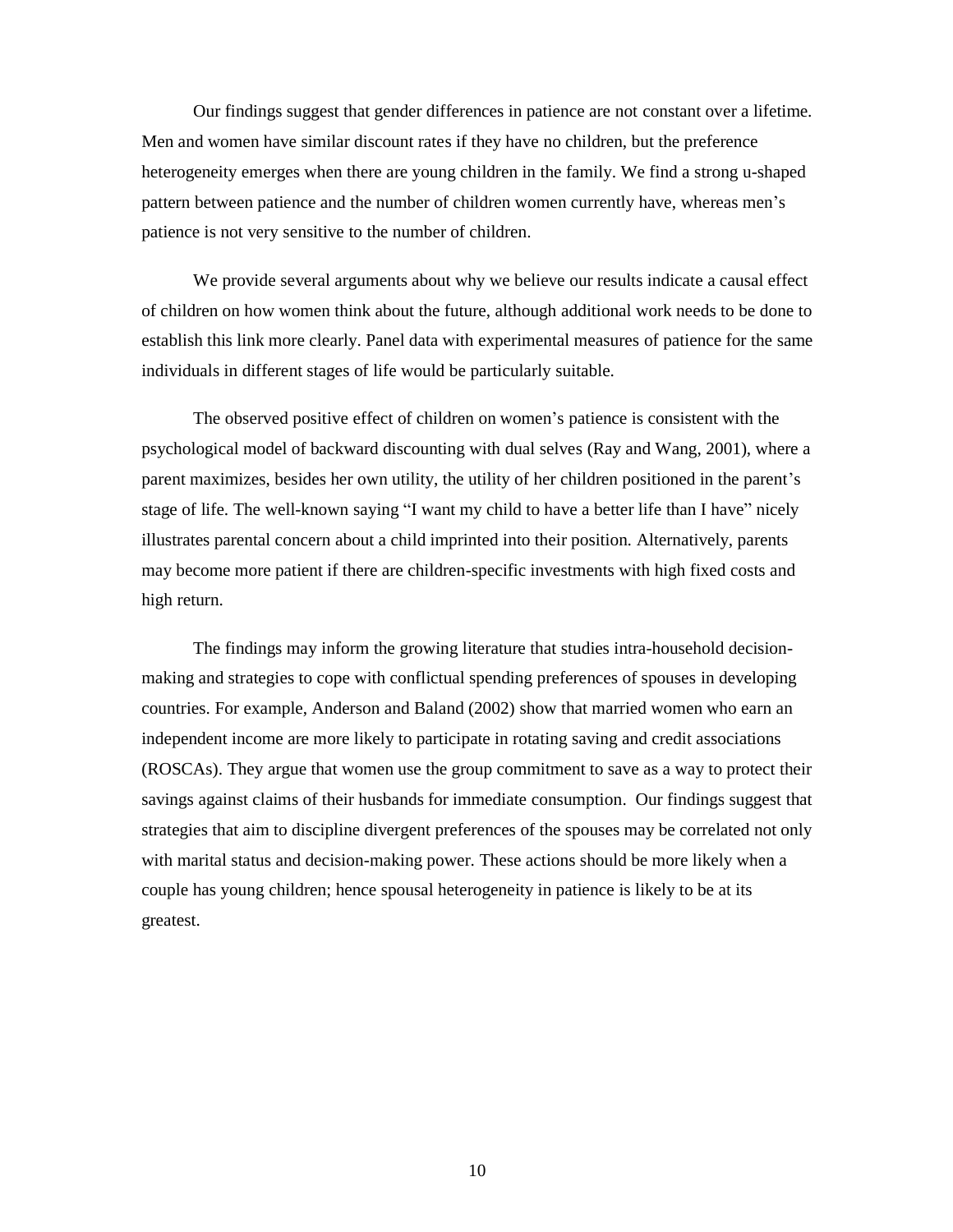Our findings suggest that gender differences in patience are not constant over a lifetime. Men and women have similar discount rates if they have no children, but the preference heterogeneity emerges when there are young children in the family. We find a strong u-shaped pattern between patience and the number of children women currently have, whereas men's patience is not very sensitive to the number of children.

We provide several arguments about why we believe our results indicate a causal effect of children on how women think about the future, although additional work needs to be done to establish this link more clearly. Panel data with experimental measures of patience for the same individuals in different stages of life would be particularly suitable.

The observed positive effect of children on women's patience is consistent with the psychological model of backward discounting with dual selves (Ray and Wang, 2001), where a parent maximizes, besides her own utility, the utility of her children positioned in the parent's stage of life. The well-known saying "I want my child to have a better life than I have"nicely illustrates parental concern about a child imprinted into their position. Alternatively, parents may become more patient if there are children-specific investments with high fixed costs and high return.

The findings may inform the growing literature that studies intra-household decisionmaking and strategies to cope with conflictual spending preferences of spouses in developing countries. For example, Anderson and Baland (2002) show that married women who earn an independent income are more likely to participate in rotating saving and credit associations (ROSCAs). They argue that women use the group commitment to save as a way to protect their savings against claims of their husbands for immediate consumption. Our findings suggest that strategies that aim to discipline divergent preferences of the spouses may be correlated not only with marital status and decision-making power. These actions should be more likely when a couple has young children; hence spousal heterogeneity in patience is likely to be at its greatest.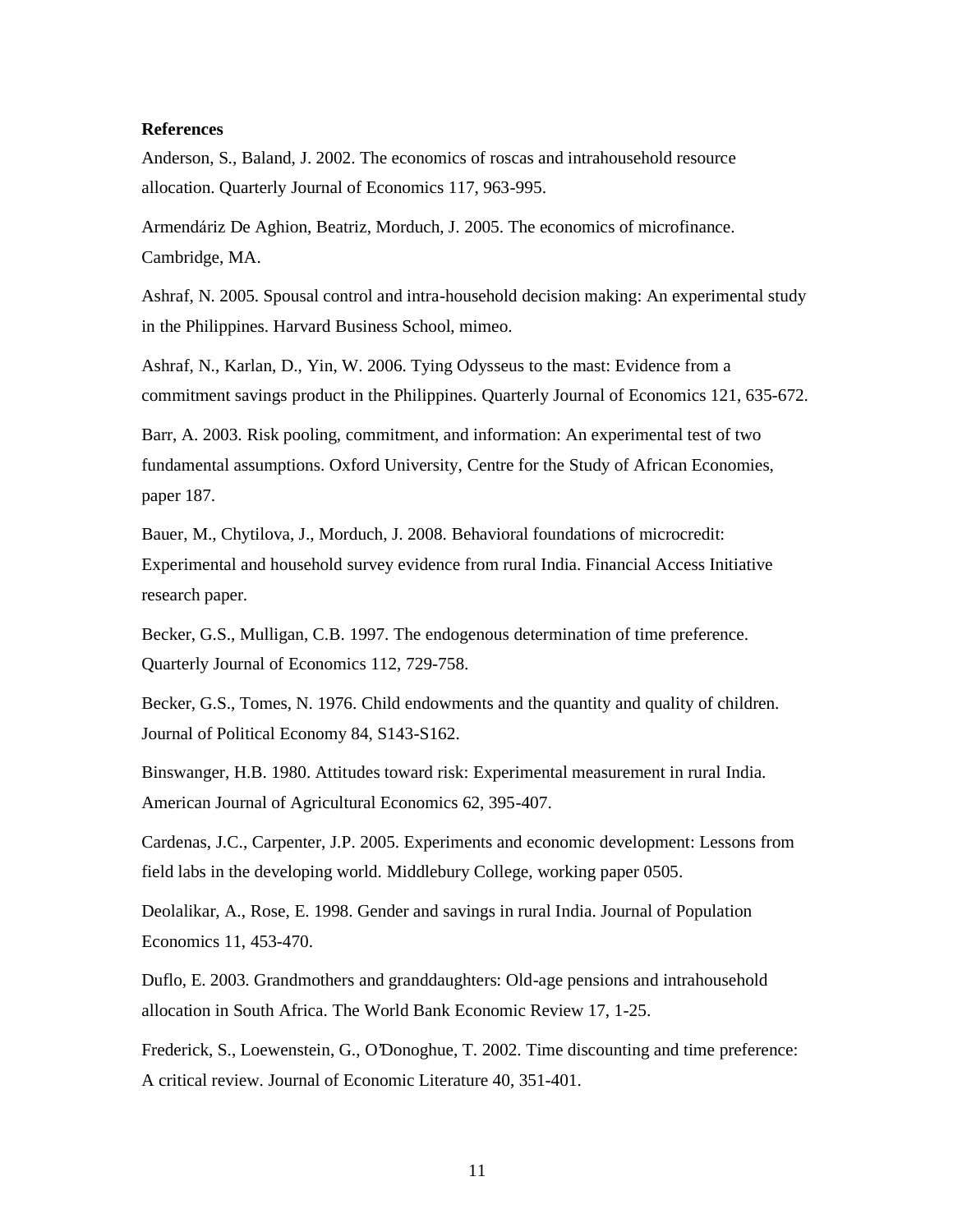### **References**

Anderson, S., Baland, J. 2002. The economics of roscas and intrahousehold resource allocation. Quarterly Journal of Economics 117, 963-995.

Armendáriz De Aghion, Beatriz, Morduch, J. 2005. The economics of microfinance. Cambridge, MA.

Ashraf, N. 2005. Spousal control and intra-household decision making: An experimental study in the Philippines. Harvard Business School, mimeo.

Ashraf, N., Karlan, D., Yin, W. 2006. Tying Odysseus to the mast: Evidence from a commitment savings product in the Philippines. Quarterly Journal of Economics 121, 635-672.

Barr, A. 2003. Risk pooling, commitment, and information: An experimental test of two fundamental assumptions. Oxford University, Centre for the Study of African Economies, paper 187.

Bauer, M., Chytilova, J., Morduch, J. 2008. Behavioral foundations of microcredit: Experimental and household survey evidence from rural India. Financial Access Initiative research paper.

Becker, G.S., Mulligan, C.B. 1997. The endogenous determination of time preference. Quarterly Journal of Economics 112, 729-758.

Becker, G.S., Tomes, N. 1976. Child endowments and the quantity and quality of children. Journal of Political Economy 84, S143-S162.

Binswanger, H.B. 1980. Attitudes toward risk: Experimental measurement in rural India. American Journal of Agricultural Economics 62, 395-407.

Cardenas, J.C., Carpenter, J.P. 2005. Experiments and economic development: Lessons from field labs in the developing world. Middlebury College, working paper 0505.

Deolalikar, A., Rose, E. 1998. Gender and savings in rural India. Journal of Population Economics 11, 453-470.

Duflo, E. 2003. Grandmothers and granddaughters: Old-age pensions and intrahousehold allocation in South Africa. The World Bank Economic Review 17, 1-25.

Frederick, S., Loewenstein, G., O'Donoghue, T. 2002. Time discounting and time preference: A critical review. Journal of Economic Literature 40, 351-401.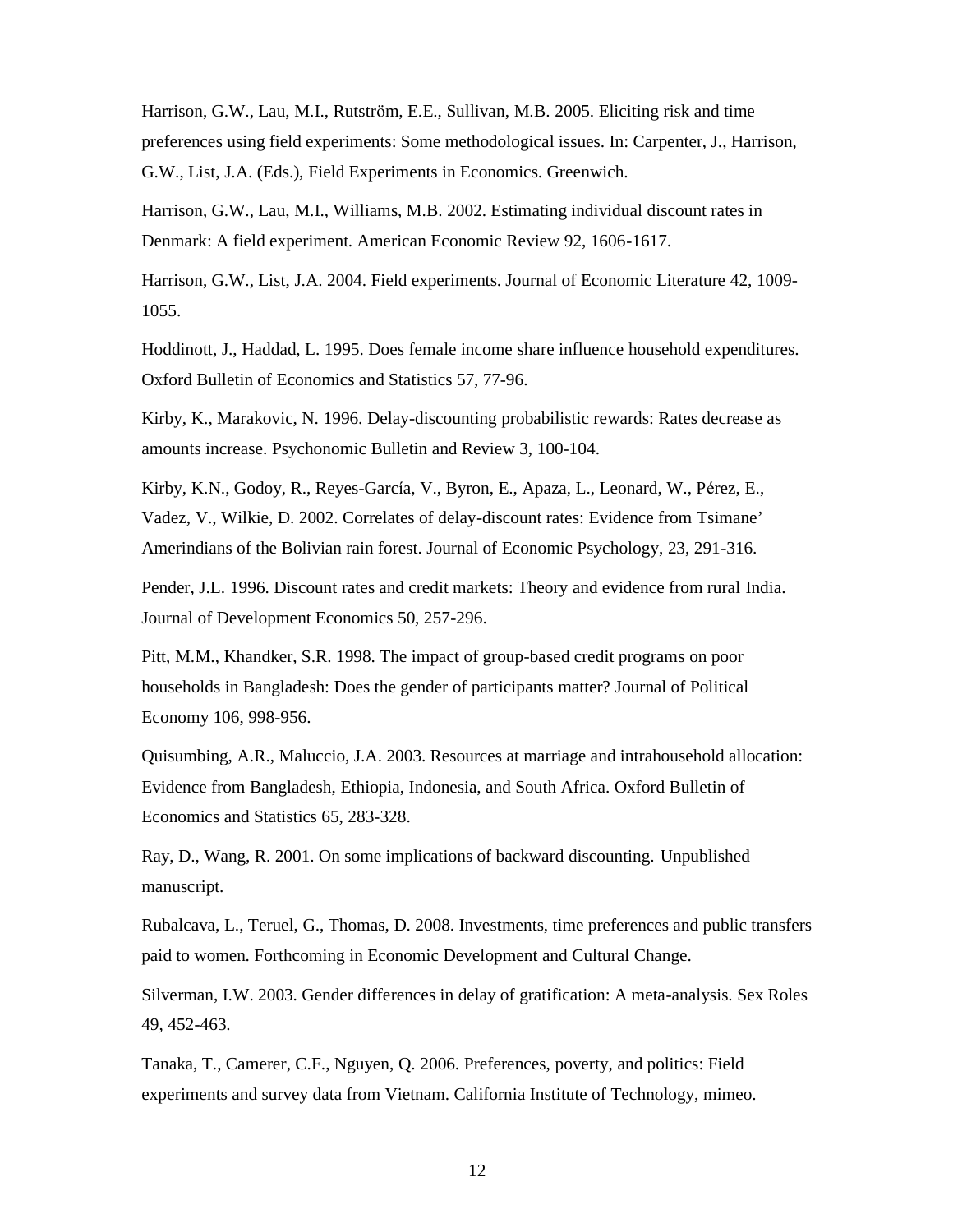Harrison, G.W., Lau, M.I., Rutström, E.E., Sullivan, M.B. 2005. Eliciting risk and time preferences using field experiments: Some methodological issues. In: Carpenter, J., Harrison, G.W., List, J.A. (Eds.), Field Experiments in Economics. Greenwich.

Harrison, G.W., Lau, M.I., Williams, M.B. 2002. Estimating individual discount rates in Denmark: A field experiment. American Economic Review 92, 1606-1617.

Harrison, G.W., List, J.A. 2004. Field experiments. Journal of Economic Literature 42, 1009- 1055.

Hoddinott, J., Haddad, L. 1995. Does female income share influence household expenditures. Oxford Bulletin of Economics and Statistics 57, 77-96.

Kirby, K., Marakovic, N. 1996. Delay-discounting probabilistic rewards: Rates decrease as amounts increase. Psychonomic Bulletin and Review 3, 100-104.

Kirby, K.N., Godoy, R., Reyes-García, V., Byron, E., Apaza, L., Leonard, W., Pérez, E., Vadez, V., Wilkie, D. 2002. Correlates of delay-discount rates: Evidence from Tsimane' Amerindians of the Bolivian rain forest. Journal of Economic Psychology, 23, 291-316.

Pender, J.L. 1996. Discount rates and credit markets: Theory and evidence from rural India. Journal of Development Economics 50, 257-296.

Pitt, M.M., Khandker, S.R. 1998. The impact of group-based credit programs on poor households in Bangladesh: Does the gender of participants matter? Journal of Political Economy 106, 998-956.

Quisumbing, A.R., Maluccio, J.A. 2003. Resources at marriage and intrahousehold allocation: Evidence from Bangladesh, Ethiopia, Indonesia, and South Africa. Oxford Bulletin of Economics and Statistics 65, 283-328.

Ray, D., Wang, R. 2001. On some implications of backward discounting. Unpublished manuscript.

Rubalcava, L., Teruel, G., Thomas, D. 2008. Investments, time preferences and public transfers paid to women. Forthcoming in Economic Development and Cultural Change.

Silverman, I.W. 2003. Gender differences in delay of gratification: A meta-analysis. Sex Roles 49, 452-463.

Tanaka, T., Camerer, C.F., Nguyen, Q. 2006. Preferences, poverty, and politics: Field experiments and survey data from Vietnam. California Institute of Technology, mimeo.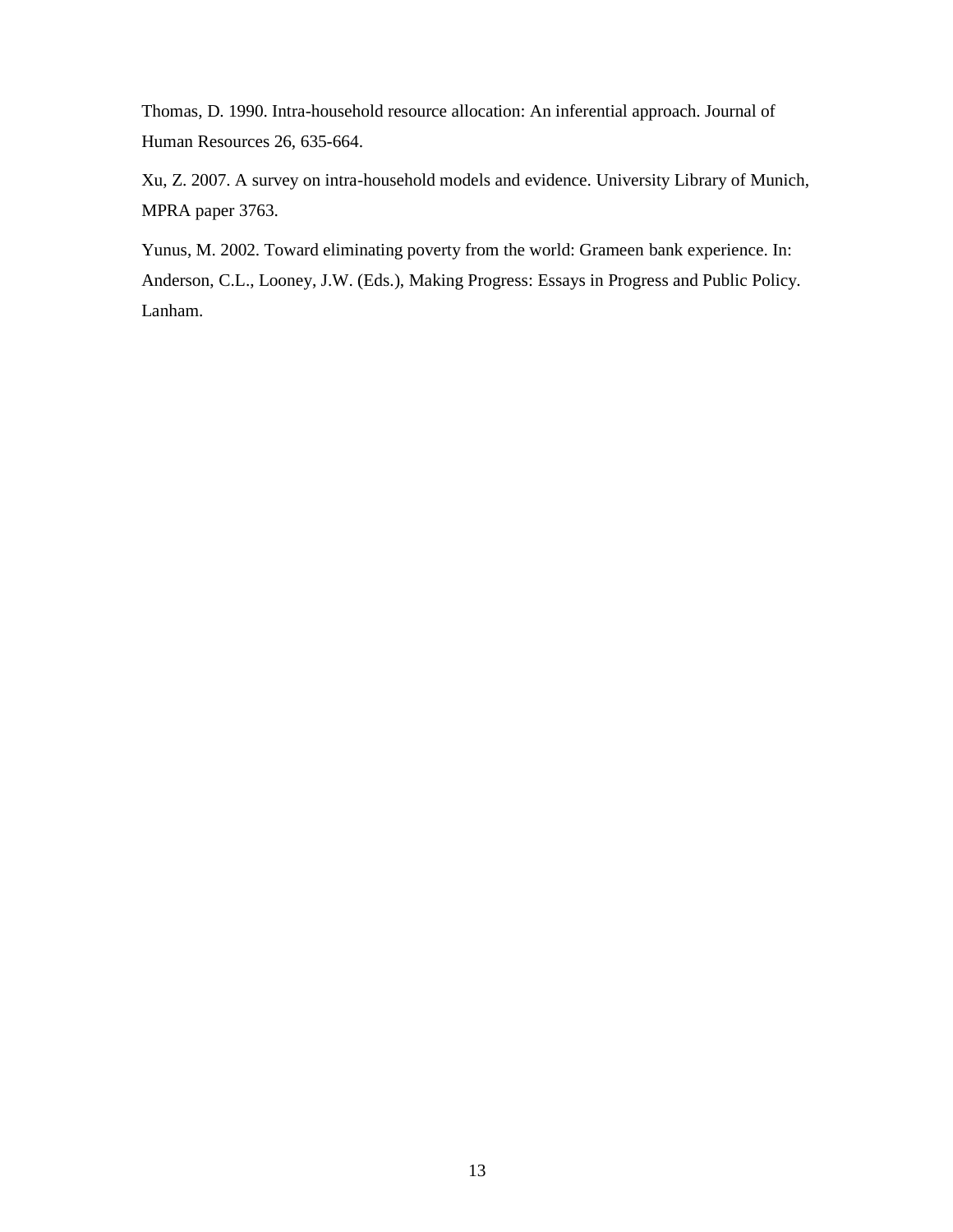Thomas, D. 1990. Intra-household resource allocation: An inferential approach. Journal of Human Resources 26, 635-664.

Xu, Z. 2007. A survey on intra-household models and evidence. University Library of Munich, MPRA paper 3763.

Yunus, M. 2002. Toward eliminating poverty from the world: Grameen bank experience. In: Anderson, C.L., Looney, J.W. (Eds.), Making Progress: Essays in Progress and Public Policy. Lanham.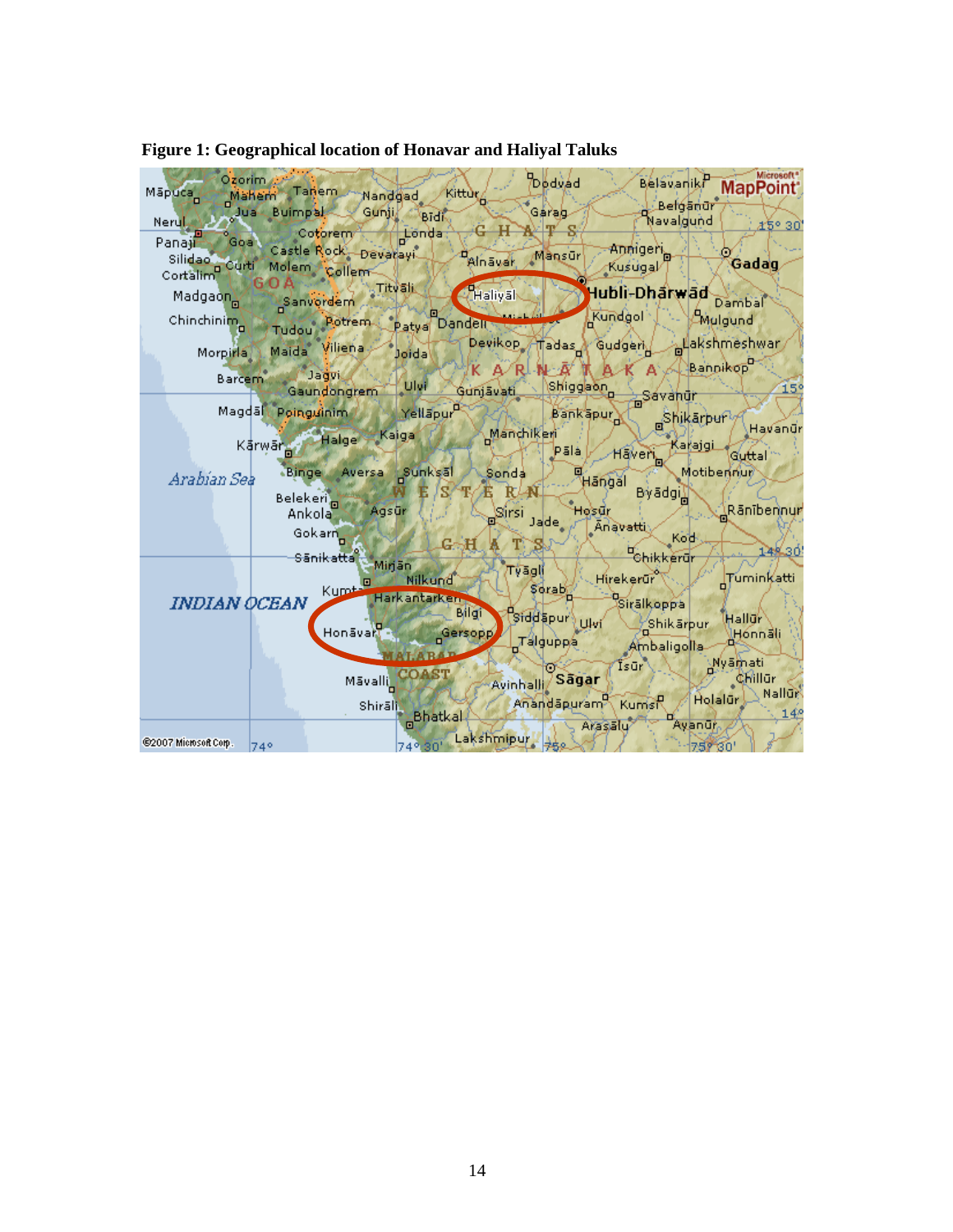| Ozorim<br>Mapuca          | Maham Tanem Nandgad                                                         | Kittúr                                                  |                                   | Dødvad                                             | Belavaniki<br>Belgandr                            | Microsoft <sup>®</sup><br><b>MapPoint</b>              |
|---------------------------|-----------------------------------------------------------------------------|---------------------------------------------------------|-----------------------------------|----------------------------------------------------|---------------------------------------------------|--------------------------------------------------------|
| <b>NeruLa</b>             | Jua Buimpal Gunji                                                           | <b>Bidi</b>                                             |                                   | Gárag                                              | Navalgund                                         | £5° 30                                                 |
| Panajir                   | Goal Cotorem<br>Castle Rock Devarayi<br>Silidao Curti Molem Collem          | Londa:                                                  | Afnäudr                           | Mansūr                                             | Anniger <sub>o</sub><br>: Kuśugal∕T               | Gadag                                                  |
| Madgao <mark>n</mark> You | Sanvordem                                                                   | Titvali                                                 | Haliyah                           |                                                    | Hubli-Dhārwād                                     | Dambal                                                 |
| Chinchinim <sub>a</sub>   | Tudou Potrem                                                                | o<br>Patya Dandell                                      |                                   | Kundgol                                            |                                                   | <b>CMulgund</b>                                        |
| Morpina                   | Maida Viliena                                                               | Joidal                                                  |                                   |                                                    | Devikop Tadas Gudgeri Blakshmeshwar               |                                                        |
| Barcem                    | <b>Jagvi</b><br>Gaundongrem Ulvi                                            |                                                         | <b>RI-N</b><br>'K A⁄<br>Gunjāvati | Shiggaon<br>Rhit                                   | $A$ $A$ $A$ $A$ $A$ $B$ annikop<br><b>Savanur</b> | 15 <sup>o</sup>                                        |
|                           | Magdal Poinguinim Man Yellapur                                              |                                                         |                                   | Bankapur                                           | Shikarpur <i>y</i>                                |                                                        |
|                           | Kārwār of Halge Kaiga                                                       |                                                         | Manchikeri                        | pāla (,                                            | Karajgi<br>Haven <sub>a</sub>                     | Havanür<br>Guttal <sup>*</sup>                         |
| Arabian Sea               | Binge Aversa Sunksal                                                        |                                                         | Sonda                             | …∕ Hāngal                                          |                                                   | Motiberinum                                            |
|                           | Belekeri <b>Dinastik K</b><br>Agsür<br>Ankola<br>Gokarn<br><b>Sānikatta</b> | 'S/<br>G. H                                             | RA.<br>к<br>Sirsi Jade            | Ήος Φί<br>Anavatti                                 | Byadgi<br>Kod<br>Chikkerur                        | Rānībennur<br>14%30                                    |
| INDIAN OCEAN              | Kumt.<br>Honāvarī -                                                         | – Mirjän<br>Nilkund<br>Harkantarken<br>Bilgi<br>Gersopp | Tyāgli                            | Hirekerür<br>Serab,<br>Siddapur Ukri<br>_Talguppa_ | Sirālkoppa<br>Shikarpur<br>Ambaligolla            | Tuminkatti<br>Hallur <sup>\</sup><br>lHónnáli          |
|                           | Māvalli<br><b>Shirāl門</b>                                                   | <b>COAST</b><br><b>Bhatkal</b>                          | Avinhalli Sagar                   | ⊙~<br>Anandapuram Kumst                            | Isur<br>A Holalur<br>n.                           | <b>Nyamati</b><br><b>Chillur</b><br>Nallur<br>$14^{o}$ |
| @2007 Microsoft Corp. 740 |                                                                             | 74° 30' Lakshmipur 752                                  |                                   | ∍ Arasālu⁄                                         | Ayanur<br>$-75780'$                               |                                                        |

## **Figure 1: Geographical location of Honavar and Haliyal Taluks**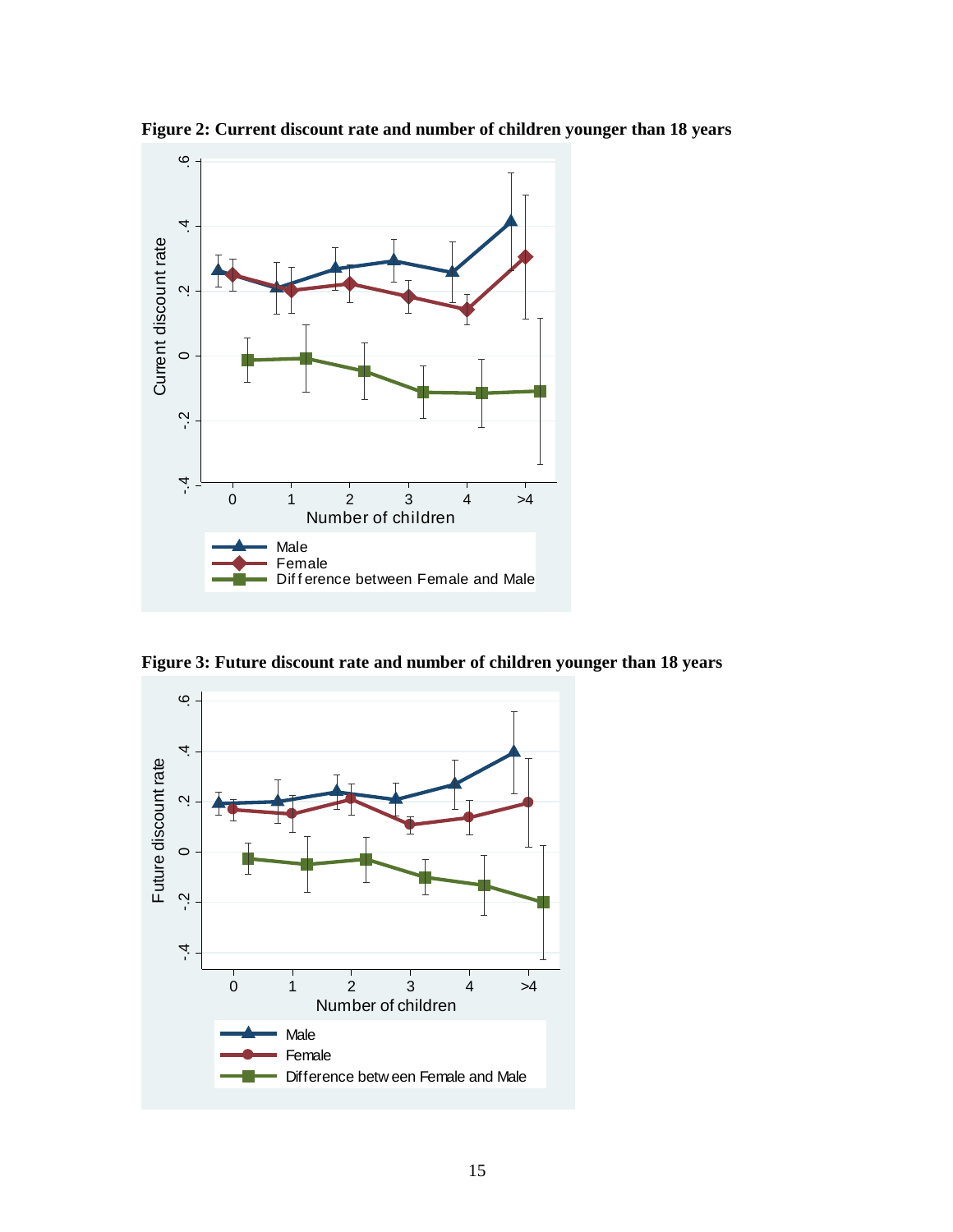

**Figure 2: Current discount rate and number of children younger than 18 years**

**Figure 3: Future discount rate and number of children younger than 18 years**

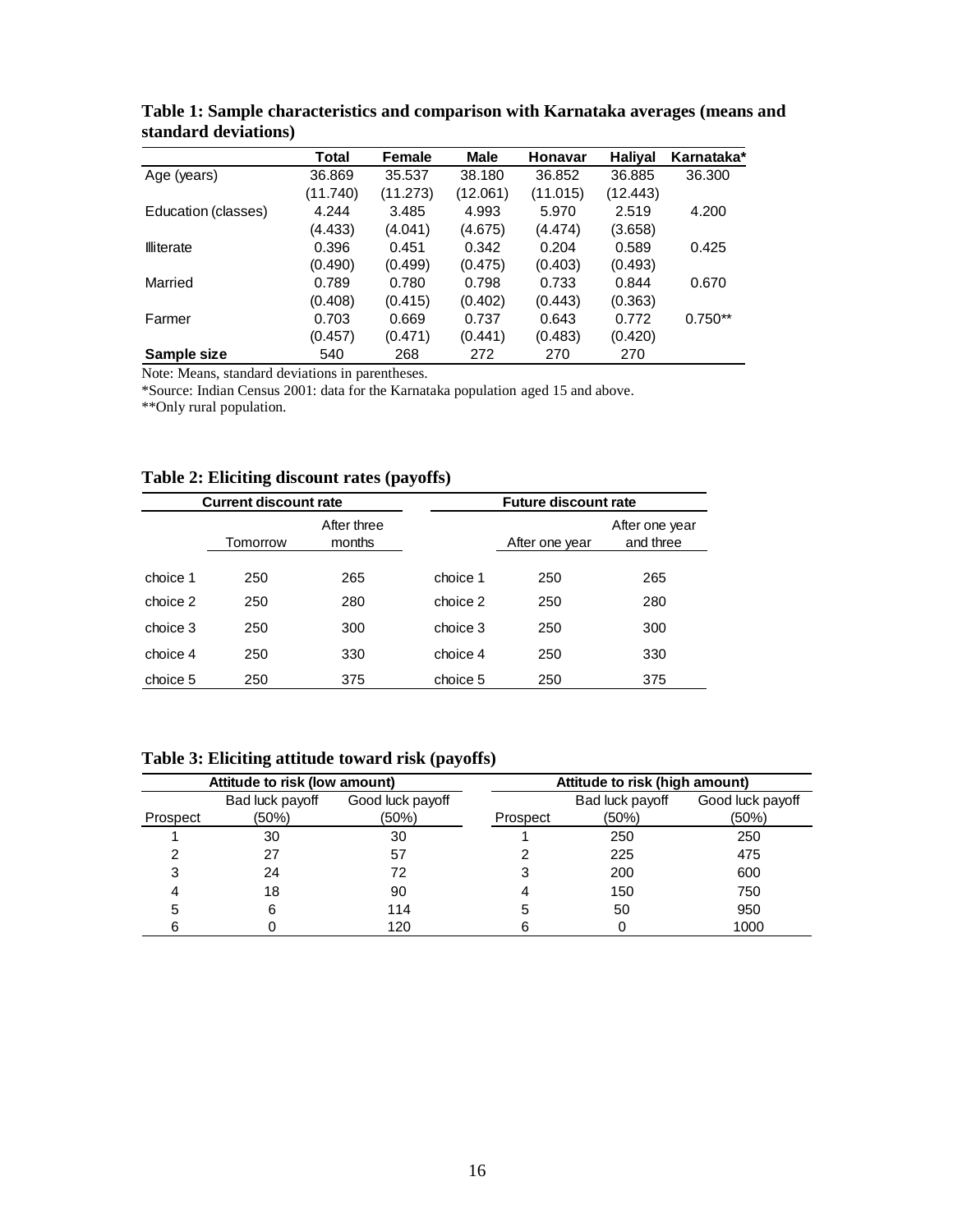|                     | Total    | Female   | Male     | Honavar  | <b>Haliyal</b> | Karnataka* |
|---------------------|----------|----------|----------|----------|----------------|------------|
| Age (years)         | 36.869   | 35.537   | 38.180   | 36.852   | 36.885         | 36.300     |
|                     | (11.740) | (11.273) | (12.061) | (11.015) | (12.443)       |            |
| Education (classes) | 4.244    | 3.485    | 4.993    | 5.970    | 2.519          | 4.200      |
|                     | (4.433)  | (4.041)  | (4.675)  | (4.474)  | (3.658)        |            |
| <b>Illiterate</b>   | 0.396    | 0.451    | 0.342    | 0.204    | 0.589          | 0.425      |
|                     | (0.490)  | (0.499)  | (0.475)  | (0.403)  | (0.493)        |            |
| Married             | 0.789    | 0.780    | 0.798    | 0.733    | 0.844          | 0.670      |
|                     | (0.408)  | (0.415)  | (0.402)  | (0.443)  | (0.363)        |            |
| Farmer              | 0.703    | 0.669    | 0.737    | 0.643    | 0.772          | $0.750**$  |
|                     | (0.457)  | (0.471)  | (0.441)  | (0.483)  | (0.420)        |            |
| Sample size         | 540      | 268      | 272      | 270      | 270            |            |

**Table 1: Sample characteristics and comparison with Karnataka averages (means and standard deviations)**

Note: Means, standard deviations in parentheses.

\*Source: Indian Census 2001: data for the Karnataka population aged 15 and above.

\*\*Only rural population.

## **Table 2: Eliciting discount rates (payoffs)**

|          | <b>Current discount rate</b> |                       |          | <b>Future discount rate</b> |                             |  |  |  |  |
|----------|------------------------------|-----------------------|----------|-----------------------------|-----------------------------|--|--|--|--|
|          | Tomorrow                     | After three<br>months |          | After one year              | After one year<br>and three |  |  |  |  |
|          |                              |                       |          |                             |                             |  |  |  |  |
| choice 1 | 250                          | 265                   | choice 1 | 250                         | 265                         |  |  |  |  |
| choice 2 | 250                          | 280                   | choice 2 | 250                         | 280                         |  |  |  |  |
| choice 3 | 250                          | 300                   | choice 3 | 250                         | 300                         |  |  |  |  |
| choice 4 | 250                          | 330                   | choice 4 | 250                         | 330                         |  |  |  |  |
| choice 5 | 250                          | 375                   | choice 5 | 250                         | 375                         |  |  |  |  |

**Table 3: Eliciting attitude toward risk (payoffs)**

|          | Attitude to risk (low amount) | $\mathbf{u}$     | Attitude to risk (high amount) |                 |                  |  |  |  |
|----------|-------------------------------|------------------|--------------------------------|-----------------|------------------|--|--|--|
|          | Bad luck payoff               | Good luck payoff |                                | Bad luck payoff | Good luck payoff |  |  |  |
| Prospect | (50%)                         | (50%)            | Prospect                       | (50%)           | (50%)            |  |  |  |
|          | 30                            | 30               |                                | 250             | 250              |  |  |  |
|          | 27                            | 57               |                                | 225             | 475              |  |  |  |
|          | 24                            | 72               |                                | 200             | 600              |  |  |  |
|          | 18                            | 90               |                                | 150             | 750              |  |  |  |
| 5        | 6                             | 114              | 5                              | 50              | 950              |  |  |  |
|          |                               | 120              |                                |                 | 1000             |  |  |  |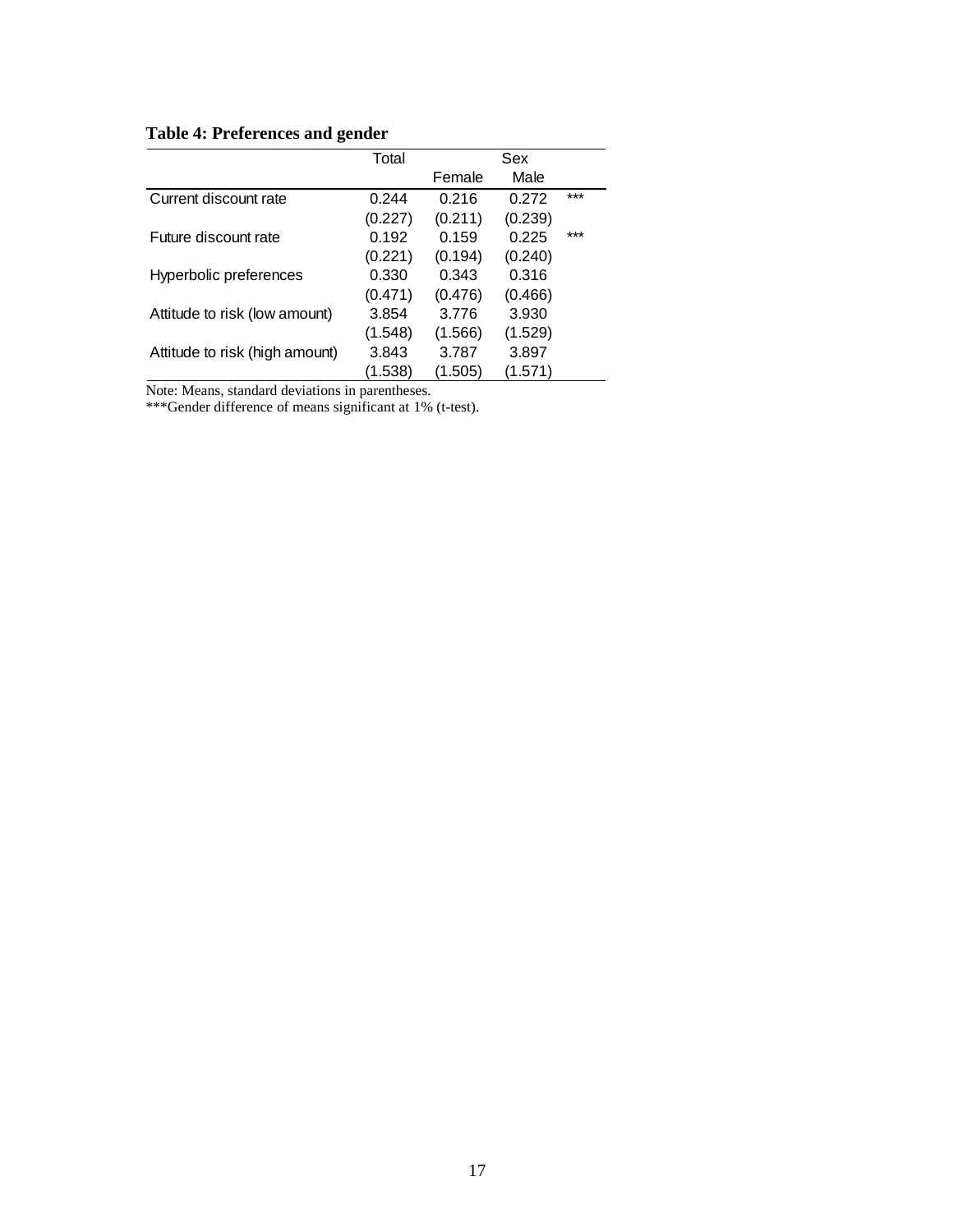## **Table 4: Preferences and gender**

|                                | Total   |         | Sex     |     |
|--------------------------------|---------|---------|---------|-----|
|                                |         | Female  | Male    |     |
| Current discount rate          | 0.244   | 0.216   | 0.272   | *** |
|                                | (0.227) | (0.211) | (0.239) |     |
| Future discount rate           | 0.192   | 0.159   | 0.225   | *** |
|                                | (0.221) | (0.194) | (0.240) |     |
| Hyperbolic preferences         | 0.330   | 0.343   | 0.316   |     |
|                                | (0.471) | (0.476) | (0.466) |     |
| Attitude to risk (low amount)  | 3.854   | 3.776   | 3.930   |     |
|                                | (1.548) | (1.566) | (1.529) |     |
| Attitude to risk (high amount) | 3.843   | 3.787   | 3.897   |     |
|                                | (1.538) | (1.505) | (1.571) |     |

Note: Means, standard deviations in parentheses.

\*\*\*Gender difference of means significant at 1% (t-test).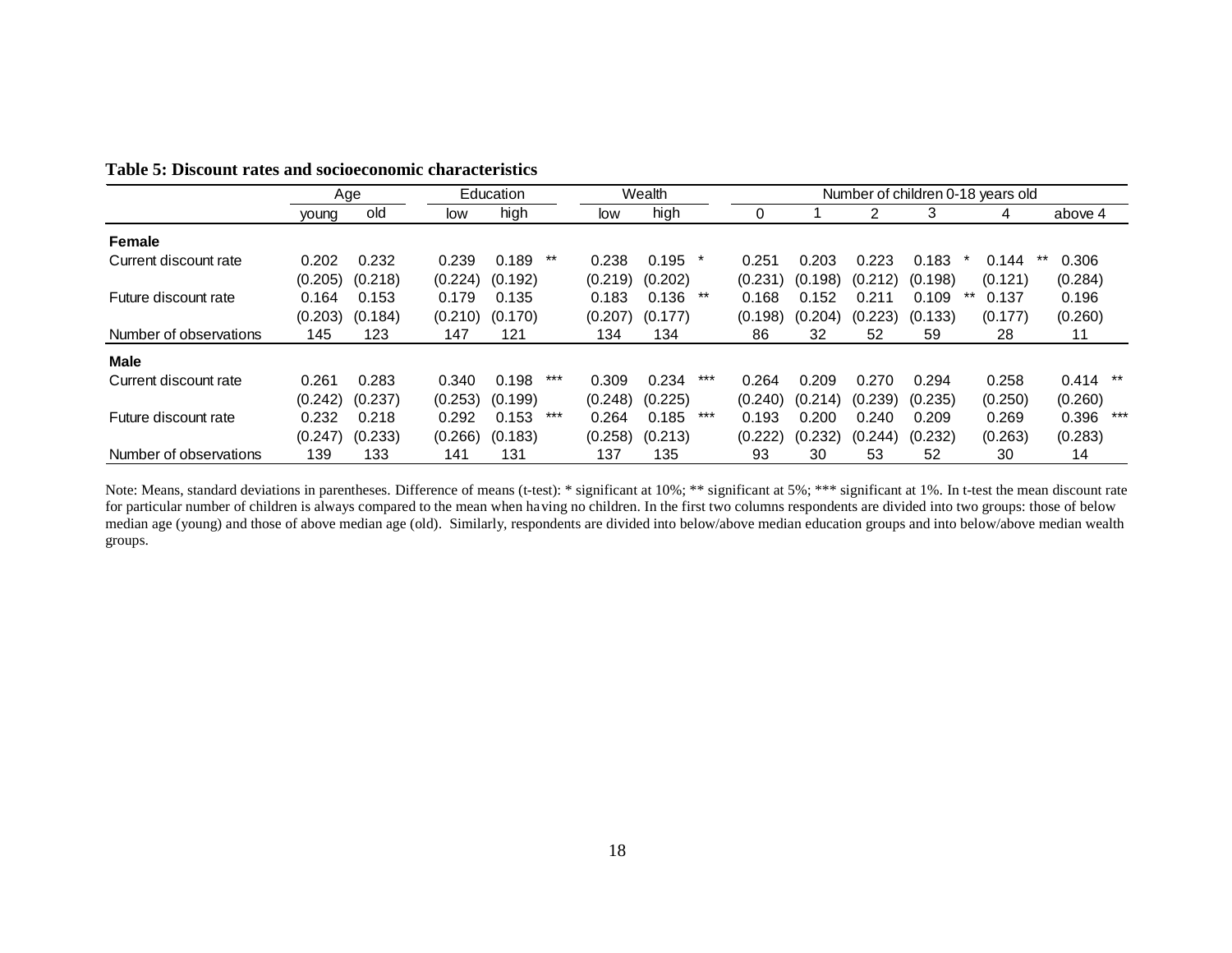|                        |         | Age     |         | Education |     |         | Wealth  |     | Number of children 0-18 years old |         |         |         |         |              |
|------------------------|---------|---------|---------|-----------|-----|---------|---------|-----|-----------------------------------|---------|---------|---------|---------|--------------|
|                        | young   | old     | low     | high      |     | low     | high    |     | $\overline{0}$                    |         | 2       | 3       | 4       | above 4      |
| Female                 |         |         |         |           |     |         |         |     |                                   |         |         |         |         |              |
| Current discount rate  | 0.202   | 0.232   | 0.239   | 0.189     | **  | 0.238   | 0.195   |     | 0.251                             | 0.203   | 0.223   | 0.183   | 0.144   | 0.306        |
|                        | (0.205) | (0.218) | (0.224) | (0.192)   |     | (0.219) | (0.202) |     | (0.231)                           | (0.198) | (0.212) | (0.198) | (0.121) | (0.284)      |
| Future discount rate   | 0.164   | 0.153   | 0.179   | 0.135     |     | 0.183   | 0.136   | **  | 0.168                             | 0.152   | 0.211   | 0.109   | 0.137   | 0.196        |
|                        | (0.203) | (0.184) | (0.210) | (0.170)   |     | (0.207) | (0.177) |     | (0.198)                           | (0.204) | (0.223) | (0.133) | (0.177) | (0.260)      |
| Number of observations | 145     | 123     | 147     | 121       |     | 134     | 134     |     | 86                                | 32      | 52      | 59      | 28      | 11           |
| <b>Male</b>            |         |         |         |           |     |         |         |     |                                   |         |         |         |         |              |
| Current discount rate  | 0.261   | 0.283   | 0.340   | 0.198     | *** | 0.309   | 0.234   | *** | 0.264                             | 0.209   | 0.270   | 0.294   | 0.258   | $0.414$ **   |
|                        | (0.242) | (0.237) | (0.253) | (0.199)   |     | (0.248) | (0.225) |     | (0.240)                           | (0.214) | (0.239) | (0.235) | (0.250) | (0.260)      |
| Future discount rate   | 0.232   | 0.218   | 0.292   | 0.153     | *** | 0.264   | 0.185   | *** | 0.193                             | 0.200   | 0.240   | 0.209   | 0.269   | 0.396<br>*** |
|                        | (0.247) | (0.233) | (0.266) | (0.183)   |     | (0.258) | (0.213) |     | (0.222)                           | (0.232) | (0.244) | (0.232) | (0.263) | (0.283)      |
| Number of observations | 139     | 133     | 141     | 131       |     | 137     | 135     |     | 93                                | 30      | 53      | 52      | 30      | 14           |

## **Table 5: Discount rates and socioeconomic characteristics**

Note: Means, standard deviations in parentheses. Difference of means (t-test): \* significant at 10%; \*\* significant at 5%; \*\*\* significant at 1%. In t-test the mean discount rate for particular number of children is always compared to the mean when having no children. In the first two columns respondents are divided into two groups: those of below median age (young) and those of above median age (old). Similarly, respondents are divided into below/above median education groups and into below/above median wealth groups.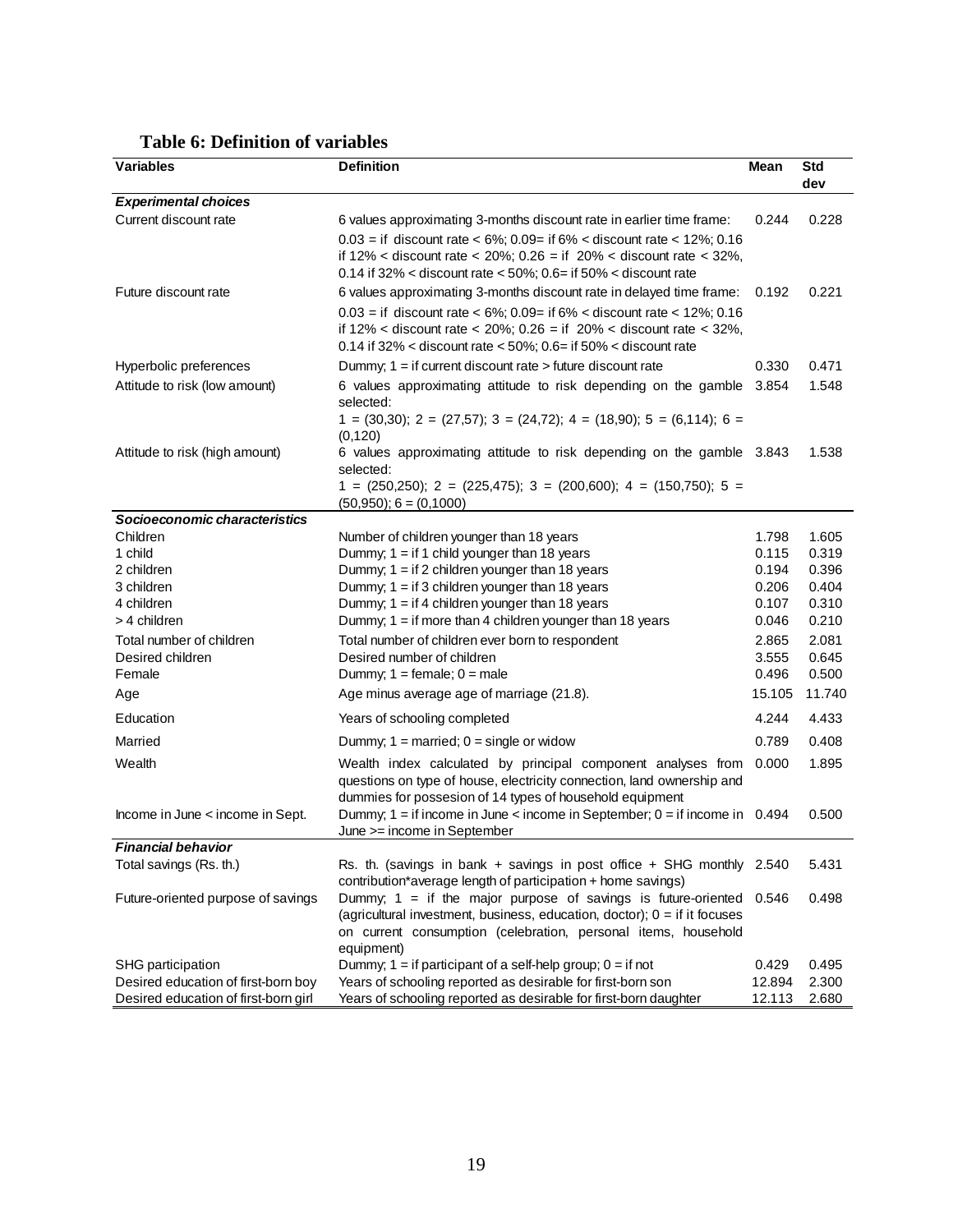| <b>Variables</b>                     | <b>Definition</b>                                                                                                                                   | Mean           | <b>Std</b>     |
|--------------------------------------|-----------------------------------------------------------------------------------------------------------------------------------------------------|----------------|----------------|
|                                      |                                                                                                                                                     |                | dev            |
| <b>Experimental choices</b>          |                                                                                                                                                     |                |                |
| Current discount rate                | 6 values approximating 3-months discount rate in earlier time frame:                                                                                | 0.244          | 0.228          |
|                                      | $0.03 =$ if discount rate < 6%; 0.09= if 6% < discount rate < 12%; 0.16                                                                             |                |                |
|                                      | if $12\%$ < discount rate < 20%; 0.26 = if $20\%$ < discount rate < 32%,<br>0.14 if 32% < discount rate < 50%; $0.6$ = if 50% < discount rate       |                |                |
| Future discount rate                 | 6 values approximating 3-months discount rate in delayed time frame:                                                                                | 0.192          | 0.221          |
|                                      |                                                                                                                                                     |                |                |
|                                      | $0.03 =$ if discount rate < 6%; 0.09= if 6% < discount rate < 12%; 0.16<br>if $12\%$ < discount rate < 20%; 0.26 = if $20\%$ < discount rate < 32%, |                |                |
|                                      | 0.14 if 32% < discount rate < 50%; $0.6 =$ if 50% < discount rate                                                                                   |                |                |
| Hyperbolic preferences               | Dummy; 1 = if current discount rate > future discount rate                                                                                          | 0.330          | 0.471          |
| Attitude to risk (low amount)        | 6 values approximating attitude to risk depending on the gamble                                                                                     | 3.854          | 1.548          |
|                                      | selected:                                                                                                                                           |                |                |
|                                      | $1 = (30,30);$ 2 = (27,57); 3 = (24,72); 4 = (18,90); 5 = (6,114); 6 =                                                                              |                |                |
|                                      | (0, 120)                                                                                                                                            |                |                |
| Attitude to risk (high amount)       | 6 values approximating attitude to risk depending on the gamble 3.843<br>selected:                                                                  |                | 1.538          |
|                                      | $1 = (250,250);$ 2 = $(225,475);$ 3 = $(200,600);$ 4 = $(150,750);$ 5 =                                                                             |                |                |
|                                      | $(50,950); 6 = (0,1000)$                                                                                                                            |                |                |
| Socioeconomic characteristics        |                                                                                                                                                     |                |                |
| Children                             | Number of children younger than 18 years                                                                                                            | 1.798          | 1.605          |
| 1 child                              | Dummy; $1 =$ if 1 child younger than 18 years                                                                                                       | 0.115          | 0.319<br>0.396 |
| 2 children<br>3 children             | Dummy; $1 = if 2 children younger than 18 years$<br>Dummy; $1 = if 3 children younger than 18 years$                                                | 0.194<br>0.206 | 0.404          |
| 4 children                           | Dummy; $1 = if 4 children younger than 18 years$                                                                                                    | 0.107          | 0.310          |
| > 4 children                         | Dummy; $1 =$ if more than 4 children younger than 18 years                                                                                          | 0.046          | 0.210          |
| Total number of children             | Total number of children ever born to respondent                                                                                                    | 2.865          | 2.081          |
| Desired children                     | Desired number of children                                                                                                                          | 3.555          | 0.645          |
| Female                               | Dummy; $1 = \text{female}$ ; $0 = \text{male}$                                                                                                      | 0.496          | 0.500          |
| Age                                  | Age minus average age of marriage (21.8).                                                                                                           | 15.105         | 11.740         |
| Education                            | Years of schooling completed                                                                                                                        | 4.244          | 4.433          |
| Married                              | Dummy; $1 =$ married; $0 =$ single or widow                                                                                                         | 0.789          | 0.408          |
| Wealth                               | Wealth index calculated by principal component analyses from                                                                                        | 0.000          | 1.895          |
|                                      | questions on type of house, electricity connection, land ownership and                                                                              |                |                |
|                                      | dummies for possesion of 14 types of household equipment                                                                                            |                |                |
| Income in June < income in Sept.     | Dummy; $1 =$ if income in June < income in September; $0 =$ if income in 0.494<br>June >= income in September                                       |                | 0.500          |
| <b>Financial behavior</b>            |                                                                                                                                                     |                |                |
| Total savings (Rs. th.)              | Rs. th. (savings in bank $+$ savings in post office $+$ SHG monthly 2.540                                                                           |                | 5.431          |
|                                      | contribution*average length of participation + home savings)                                                                                        |                |                |
| Future-oriented purpose of savings   | Dummy; $1 =$ if the major purpose of savings is future-oriented $0.546$                                                                             |                | 0.498          |
|                                      | (agricultural investment, business, education, doctor); $0 =$ if it focuses                                                                         |                |                |
|                                      | on current consumption (celebration, personal items, household                                                                                      |                |                |
| SHG participation                    | equipment)<br>Dummy; $1 =$ if participant of a self-help group; $0 =$ if not                                                                        | 0.429          | 0.495          |
| Desired education of first-born boy  | Years of schooling reported as desirable for first-born son                                                                                         | 12.894         | 2.300          |
| Desired education of first-born girl | Years of schooling reported as desirable for first-born daughter                                                                                    | 12.113         | 2.680          |

## **Table 6: Definition of variables**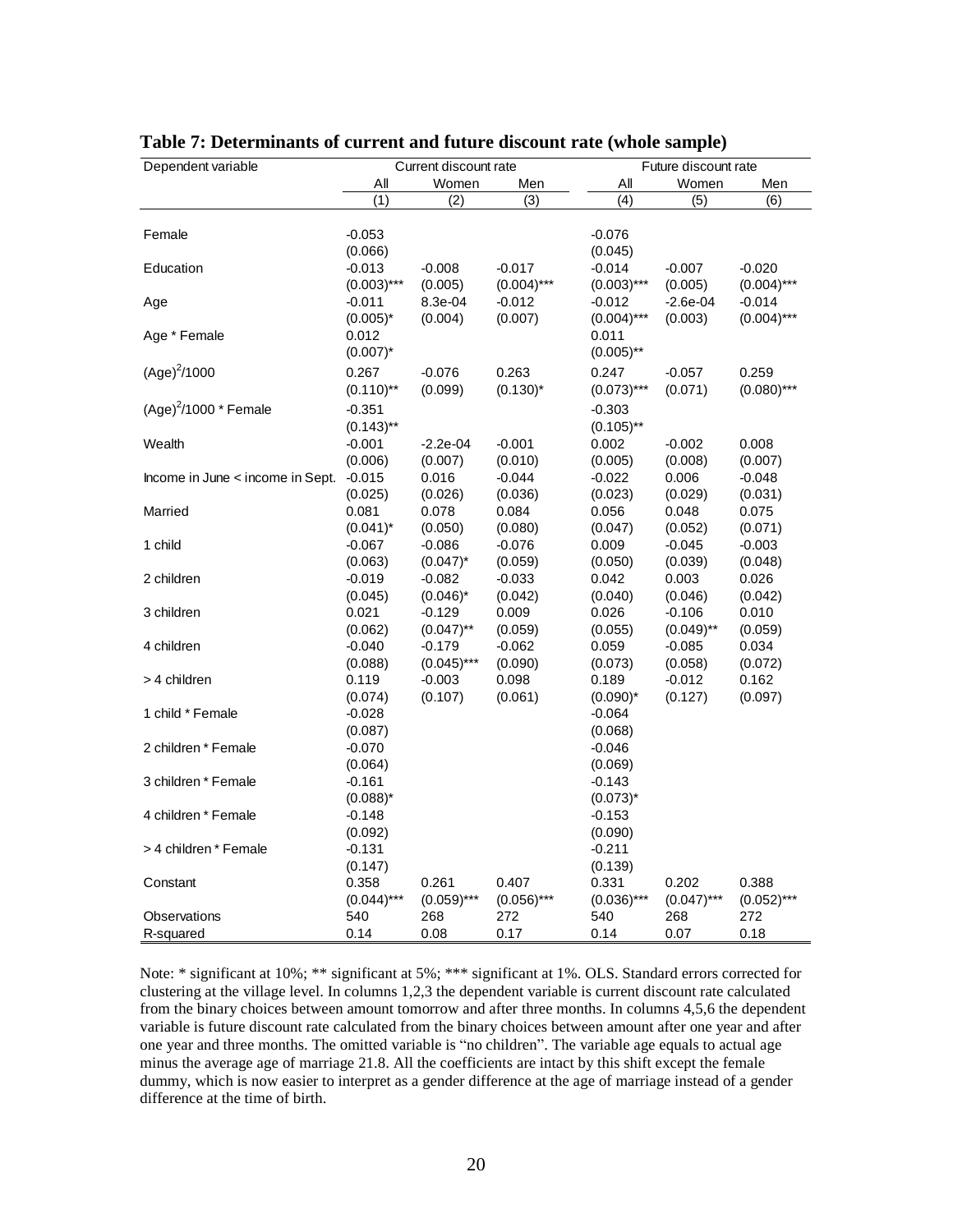| Dependent variable               |                         | Current discount rate |               | Future discount rate |                         |               |  |
|----------------------------------|-------------------------|-----------------------|---------------|----------------------|-------------------------|---------------|--|
|                                  | All                     | Women                 | Men           | Αll                  | Women                   | Men           |  |
|                                  | $\overline{(1)}$        | (2)                   | (3)           | (4)                  | (5)                     | (6)           |  |
|                                  |                         |                       |               |                      |                         |               |  |
| Female                           | $-0.053$                |                       |               | $-0.076$             |                         |               |  |
|                                  | (0.066)                 |                       |               | (0.045)              |                         |               |  |
| Education                        | $-0.013$                | $-0.008$              | $-0.017$      | $-0.014$             | $-0.007$                | $-0.020$      |  |
|                                  | $(0.003)$ ***           | (0.005)               | $(0.004)$ *** | $(0.003)$ ***        | (0.005)                 | $(0.004)$ *** |  |
| Age                              | $-0.011$                | 8.3e-04               | $-0.012$      | -0.012               | $-2.6e-04$              | $-0.014$      |  |
|                                  | $(0.005)^*$             | (0.004)               | (0.007)       | $(0.004)$ ***        | (0.003)                 | $(0.004)$ *** |  |
| Age * Female                     | 0.012                   |                       |               | 0.011                |                         |               |  |
|                                  | $(0.007)^*$             |                       |               | $(0.005)$ **         |                         |               |  |
| $(Age)^2/1000$                   | 0.267                   | $-0.076$              | 0.263         | 0.247                | $-0.057$                | 0.259         |  |
|                                  | $(0.110)$ **            | (0.099)               | $(0.130)^*$   | $(0.073)$ ***        | (0.071)                 | $(0.080)$ *** |  |
| $(Age)^2/1000$ * Female          | $-0.351$                |                       |               | $-0.303$             |                         |               |  |
|                                  | $(0.143)$ <sup>**</sup> |                       |               | $(0.105)$ **         |                         |               |  |
| Wealth                           | $-0.001$                | $-2.2e-04$            | $-0.001$      | 0.002                | $-0.002$                | 0.008         |  |
|                                  | (0.006)                 | (0.007)               | (0.010)       | (0.005)              | (0.008)                 | (0.007)       |  |
| Income in June < income in Sept. | $-0.015$                | 0.016                 | $-0.044$      | $-0.022$             | 0.006                   | $-0.048$      |  |
|                                  | (0.025)                 | (0.026)               | (0.036)       | (0.023)              | (0.029)                 | (0.031)       |  |
| Married                          | 0.081                   | 0.078                 | 0.084         | 0.056                | 0.048                   | 0.075         |  |
|                                  | $(0.041)^*$             | (0.050)               | (0.080)       | (0.047)              | (0.052)                 | (0.071)       |  |
| 1 child                          | -0.067                  | $-0.086$              | $-0.076$      | 0.009                | -0.045                  | $-0.003$      |  |
|                                  | (0.063)                 | $(0.047)^*$           | (0.059)       | (0.050)              | (0.039)                 | (0.048)       |  |
| 2 children                       | $-0.019$                | $-0.082$              | $-0.033$      | 0.042                | 0.003                   | 0.026         |  |
|                                  | (0.045)                 | $(0.046)^*$           | (0.042)       | (0.040)              | (0.046)                 | (0.042)       |  |
| 3 children                       | 0.021                   | $-0.129$              | 0.009         | 0.026                | $-0.106$                | 0.010         |  |
|                                  | (0.062)                 | $(0.047)$ **          | (0.059)       | (0.055)              | $(0.049)$ <sup>**</sup> | (0.059)       |  |
| 4 children                       | $-0.040$                | $-0.179$              | $-0.062$      | 0.059                | $-0.085$                | 0.034         |  |
|                                  | (0.088)                 | $(0.045)$ ***         | (0.090)       | (0.073)              | (0.058)                 | (0.072)       |  |
| > 4 children                     | 0.119                   | $-0.003$              | 0.098         | 0.189                | $-0.012$                | 0.162         |  |
|                                  | (0.074)                 | (0.107)               | (0.061)       | $(0.090)^*$          | (0.127)                 | (0.097)       |  |
| 1 child * Female                 | $-0.028$                |                       |               | $-0.064$             |                         |               |  |
| 2 children * Female              | (0.087)                 |                       |               | (0.068)<br>$-0.046$  |                         |               |  |
|                                  | $-0.070$<br>(0.064)     |                       |               | (0.069)              |                         |               |  |
| 3 children * Female              | $-0.161$                |                       |               | $-0.143$             |                         |               |  |
|                                  | $(0.088)^*$             |                       |               | $(0.073)^*$          |                         |               |  |
| 4 children * Female              | $-0.148$                |                       |               | $-0.153$             |                         |               |  |
|                                  | (0.092)                 |                       |               | (0.090)              |                         |               |  |
| > 4 children * Female            | $-0.131$                |                       |               | $-0.211$             |                         |               |  |
|                                  | (0.147)                 |                       |               | (0.139)              |                         |               |  |
| Constant                         | 0.358                   | 0.261                 | 0.407         | 0.331                | 0.202                   | 0.388         |  |
|                                  | $(0.044)***$            | $(0.059)$ ***         | $(0.056)$ *** | $(0.036)$ ***        | $(0.047)$ ***           | $(0.052)$ *** |  |
| Observations                     | 540                     | 268                   | 272           | 540                  | 268                     | 272           |  |
| R-squared                        | 0.14                    | 0.08                  | 0.17          | 0.14                 | 0.07                    | 0.18          |  |

**Table 7: Determinants of current and future discount rate (whole sample)**

Note: \* significant at 10%; \*\* significant at 5%; \*\*\* significant at 1%. OLS. Standard errors corrected for clustering at the village level. In columns 1,2,3 the dependent variable is current discount rate calculated from the binary choices between amount tomorrow and after three months. In columns 4,5,6 the dependent variable is future discount rate calculated from the binary choices between amount after one year and after one year and three months. The omitted variable is "no children". The variable age equals to actual age minus the average age of marriage 21.8. All the coefficients are intact by this shift except the female dummy, which is now easier to interpret as a gender difference at the age of marriage instead of a gender difference at the time of birth.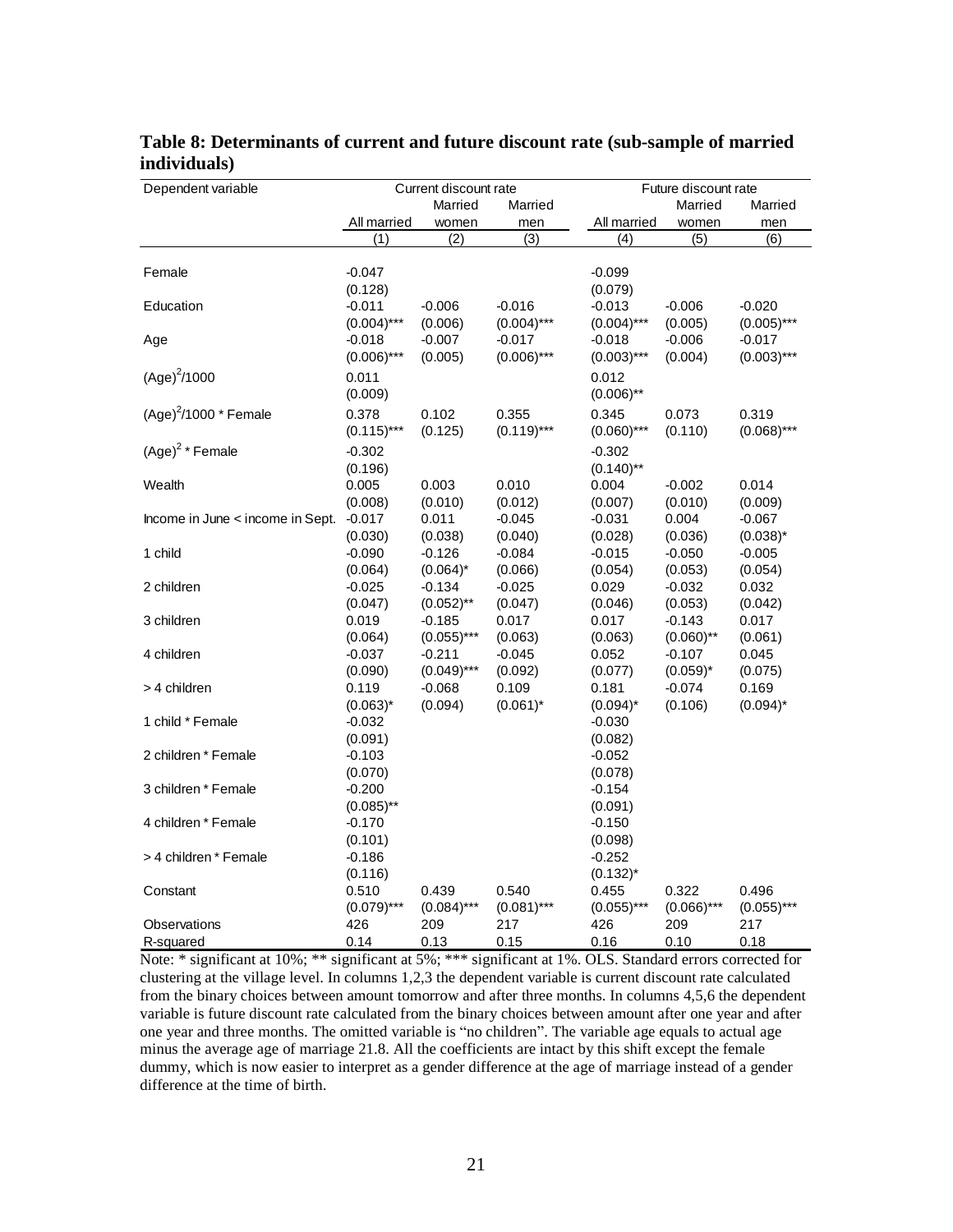| Dependent variable               |               | Current discount rate |               |               | Future discount rate |               |  |  |
|----------------------------------|---------------|-----------------------|---------------|---------------|----------------------|---------------|--|--|
|                                  |               | Married               | Married       |               | Married              | Married       |  |  |
|                                  | All married   | women                 | men           | All married   | women                | men           |  |  |
|                                  | (1)           | (2)                   | (3)           | (4)           | (5)                  | (6)           |  |  |
|                                  |               |                       |               |               |                      |               |  |  |
| Female                           | $-0.047$      |                       |               | $-0.099$      |                      |               |  |  |
|                                  | (0.128)       |                       |               | (0.079)       |                      |               |  |  |
| Education                        | $-0.011$      | $-0.006$              | $-0.016$      | $-0.013$      | $-0.006$             | $-0.020$      |  |  |
|                                  | $(0.004)$ *** | (0.006)               | $(0.004)$ *** | $(0.004)$ *** | (0.005)              | $(0.005)$ *** |  |  |
| Age                              | $-0.018$      | $-0.007$              | $-0.017$      | $-0.018$      | $-0.006$             | $-0.017$      |  |  |
|                                  | $(0.006)$ *** | (0.005)               | $(0.006)$ *** | $(0.003)$ *** | (0.004)              | $(0.003)$ *** |  |  |
| $(Age)^2/1000$                   | 0.011         |                       |               | 0.012         |                      |               |  |  |
|                                  | (0.009)       |                       |               | $(0.006)$ **  |                      |               |  |  |
| $(Age)^2/1000$ * Female          | 0.378         | 0.102                 | 0.355         | 0.345         | 0.073                | 0.319         |  |  |
|                                  | $(0.115)***$  | (0.125)               | $(0.119)***$  | $(0.060)$ *** | (0.110)              | $(0.068)$ *** |  |  |
| $(Age)^2$ * Female               | $-0.302$      |                       |               | $-0.302$      |                      |               |  |  |
|                                  | (0.196)       |                       |               | $(0.140)$ **  |                      |               |  |  |
| Wealth                           | 0.005         | 0.003                 | 0.010         | 0.004         | $-0.002$             | 0.014         |  |  |
|                                  | (0.008)       | (0.010)               | (0.012)       | (0.007)       | (0.010)              | (0.009)       |  |  |
| Income in June < income in Sept. | $-0.017$      | 0.011                 | $-0.045$      | $-0.031$      | 0.004                | $-0.067$      |  |  |
|                                  | (0.030)       | (0.038)               | (0.040)       | (0.028)       | (0.036)              | $(0.038)^*$   |  |  |
| 1 child                          | $-0.090$      | $-0.126$              | $-0.084$      | $-0.015$      | $-0.050$             | $-0.005$      |  |  |
|                                  | (0.064)       | $(0.064)^*$           | (0.066)       | (0.054)       | (0.053)              | (0.054)       |  |  |
| 2 children                       | $-0.025$      | $-0.134$              | $-0.025$      | 0.029         | $-0.032$             | 0.032         |  |  |
|                                  | (0.047)       | $(0.052)$ **          | (0.047)       | (0.046)       | (0.053)              | (0.042)       |  |  |
| 3 children                       | 0.019         | $-0.185$              | 0.017         | 0.017         | $-0.143$             | 0.017         |  |  |
|                                  | (0.064)       | $(0.055)$ ***         | (0.063)       | (0.063)       | $(0.060)$ **         | (0.061)       |  |  |
| 4 children                       | $-0.037$      | $-0.211$              | $-0.045$      | 0.052         | $-0.107$             | 0.045         |  |  |
|                                  | (0.090)       | $(0.049)$ ***         | (0.092)       | (0.077)       | $(0.059)^*$          | (0.075)       |  |  |
| > 4 children                     | 0.119         | $-0.068$              | 0.109         | 0.181         | $-0.074$             | 0.169         |  |  |
|                                  | $(0.063)^{*}$ | (0.094)               | $(0.061)^*$   | $(0.094)^*$   | (0.106)              | $(0.094)$ *   |  |  |
| 1 child * Female                 | $-0.032$      |                       |               | $-0.030$      |                      |               |  |  |
|                                  | (0.091)       |                       |               | (0.082)       |                      |               |  |  |
| 2 children * Female              | $-0.103$      |                       |               | $-0.052$      |                      |               |  |  |
|                                  | (0.070)       |                       |               | (0.078)       |                      |               |  |  |
| 3 children * Female              | $-0.200$      |                       |               | $-0.154$      |                      |               |  |  |
|                                  | $(0.085)$ **  |                       |               | (0.091)       |                      |               |  |  |
| 4 children * Female              | $-0.170$      |                       |               | $-0.150$      |                      |               |  |  |
|                                  | (0.101)       |                       |               | (0.098)       |                      |               |  |  |
| > 4 children * Female            | $-0.186$      |                       |               | -0.252        |                      |               |  |  |
|                                  | (0.116)       |                       |               | $(0.132)^{*}$ |                      |               |  |  |
| Constant                         | 0.510         | 0.439                 | 0.540         | 0.455         | 0.322                | 0.496         |  |  |
|                                  | $(0.079)$ *** | $(0.084)$ ***         | $(0.081)$ *** | $(0.055)$ *** | $(0.066)$ ***        | $(0.055)$ *** |  |  |
| Observations                     | 426           | 209                   | 217           | 426           | 209                  | 217           |  |  |
| R-squared                        | 0.14          | 0.13                  | 0.15          | 0.16          | 0.10                 | 0.18          |  |  |

## **Table 8: Determinants of current and future discount rate (sub-sample of married individuals)**

Note: \* significant at 10%; \*\* significant at 5%; \*\*\* significant at 1%. OLS. Standard errors corrected for clustering at the village level. In columns 1,2,3 the dependent variable is current discount rate calculated from the binary choices between amount tomorrow and after three months. In columns 4,5,6 the dependent variable is future discount rate calculated from the binary choices between amount after one year and after one year and three months. The omitted variable is "no children". The variable age equals to actual age minus the average age of marriage 21.8. All the coefficients are intact by this shift except the female dummy, which is now easier to interpret as a gender difference at the age of marriage instead of a gender difference at the time of birth.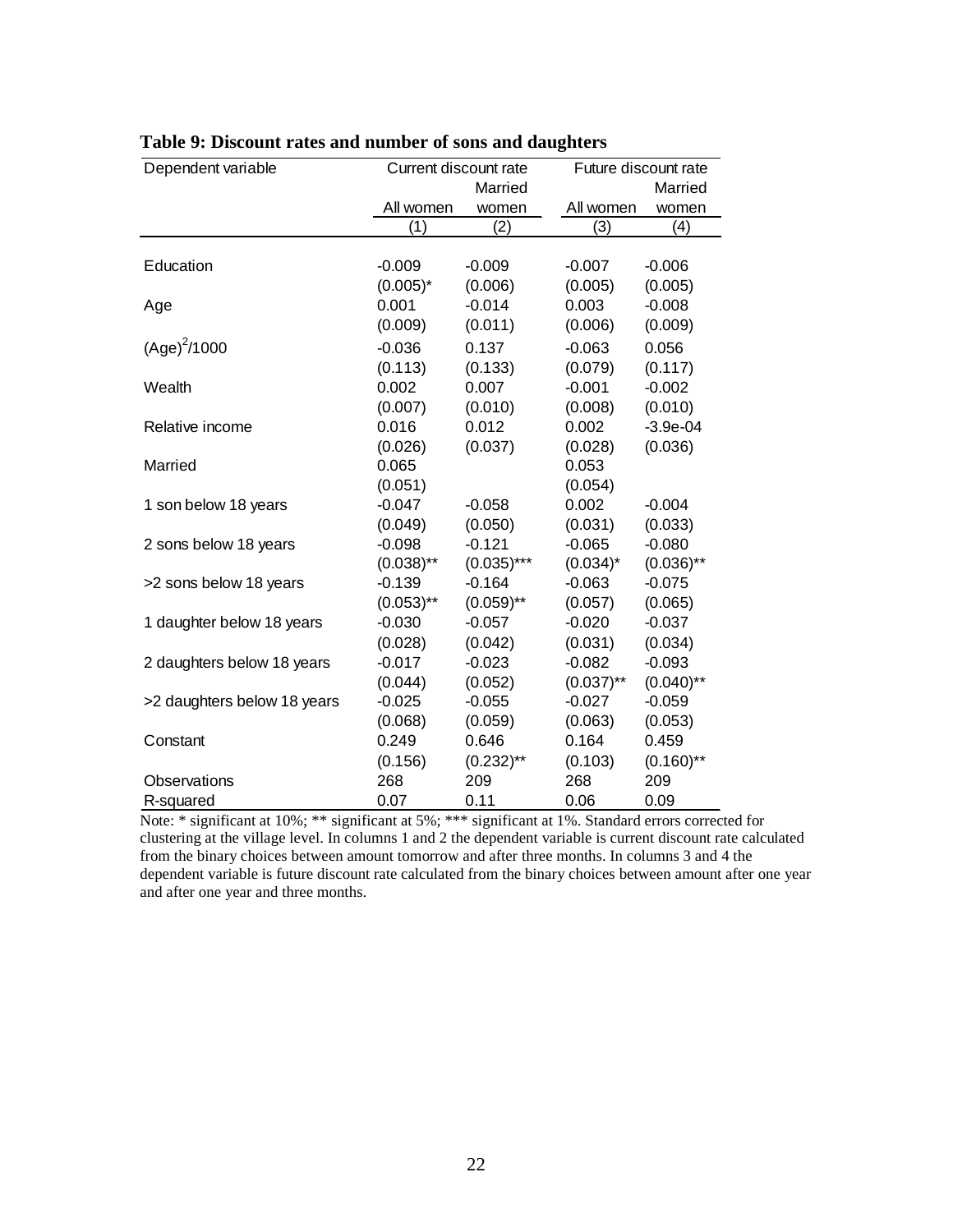| Dependent variable          | Current discount rate |               | Future discount rate |              |  |  |
|-----------------------------|-----------------------|---------------|----------------------|--------------|--|--|
|                             |                       | Married       |                      | Married      |  |  |
|                             | All women             | women         | All women            | women        |  |  |
|                             | (1)                   | (2)           | (3)                  | (4)          |  |  |
|                             |                       |               |                      |              |  |  |
| Education                   | $-0.009$              | $-0.009$      | $-0.007$             | $-0.006$     |  |  |
|                             | $(0.005)^*$           | (0.006)       | (0.005)              | (0.005)      |  |  |
| Age                         | 0.001                 | $-0.014$      | 0.003                | $-0.008$     |  |  |
|                             | (0.009)               | (0.011)       | (0.006)              | (0.009)      |  |  |
| $(Age)^{2}/1000$            | $-0.036$              | 0.137         | $-0.063$             | 0.056        |  |  |
|                             | (0.113)               | (0.133)       | (0.079)              | (0.117)      |  |  |
| Wealth                      | 0.002                 | 0.007         | $-0.001$             | $-0.002$     |  |  |
|                             | (0.007)               | (0.010)       | (0.008)              | (0.010)      |  |  |
| Relative income             | 0.016                 | 0.012         | 0.002                | $-3.9e-04$   |  |  |
|                             | (0.026)               | (0.037)       | (0.028)              | (0.036)      |  |  |
| Married                     | 0.065                 |               | 0.053                |              |  |  |
|                             | (0.051)               |               | (0.054)              |              |  |  |
| 1 son below 18 years        | $-0.047$              | $-0.058$      | 0.002                | $-0.004$     |  |  |
|                             | (0.049)               | (0.050)       | (0.031)              | (0.033)      |  |  |
| 2 sons below 18 years       | $-0.098$              | $-0.121$      | $-0.065$             | $-0.080$     |  |  |
|                             | $(0.038)$ **          | $(0.035)$ *** | $(0.034)^*$          | $(0.036)$ ** |  |  |
| >2 sons below 18 years      | $-0.139$              | $-0.164$      | $-0.063$             | $-0.075$     |  |  |
|                             | $(0.053)$ **          | $(0.059)$ **  | (0.057)              | (0.065)      |  |  |
| 1 daughter below 18 years   | $-0.030$              | $-0.057$      | $-0.020$             | $-0.037$     |  |  |
|                             | (0.028)               | (0.042)       | (0.031)              | (0.034)      |  |  |
| 2 daughters below 18 years  | $-0.017$              | $-0.023$      | $-0.082$             | $-0.093$     |  |  |
|                             | (0.044)               | (0.052)       | $(0.037)$ **         | $(0.040)$ ** |  |  |
| >2 daughters below 18 years | $-0.025$              | $-0.055$      | $-0.027$             | $-0.059$     |  |  |
|                             | (0.068)               | (0.059)       | (0.063)              | (0.053)      |  |  |
| Constant                    | 0.249                 | 0.646         | 0.164                | 0.459        |  |  |
|                             | (0.156)               | $(0.232)$ **  | (0.103)              | $(0.160)$ ** |  |  |
| Observations                | 268                   | 209           | 268                  | 209          |  |  |
| R-squared                   | 0.07                  | 0.11          | 0.06                 | 0.09         |  |  |

|  |  |  |  |  |  |  |  |  |  | Table 9: Discount rates and number of sons and daughters |
|--|--|--|--|--|--|--|--|--|--|----------------------------------------------------------|
|--|--|--|--|--|--|--|--|--|--|----------------------------------------------------------|

Note: \* significant at 10%; \*\* significant at 5%; \*\*\* significant at 1%. Standard errors corrected for clustering at the village level. In columns 1 and 2 the dependent variable is current discount rate calculated from the binary choices between amount tomorrow and after three months. In columns 3 and 4 the dependent variable is future discount rate calculated from the binary choices between amount after one year and after one year and three months.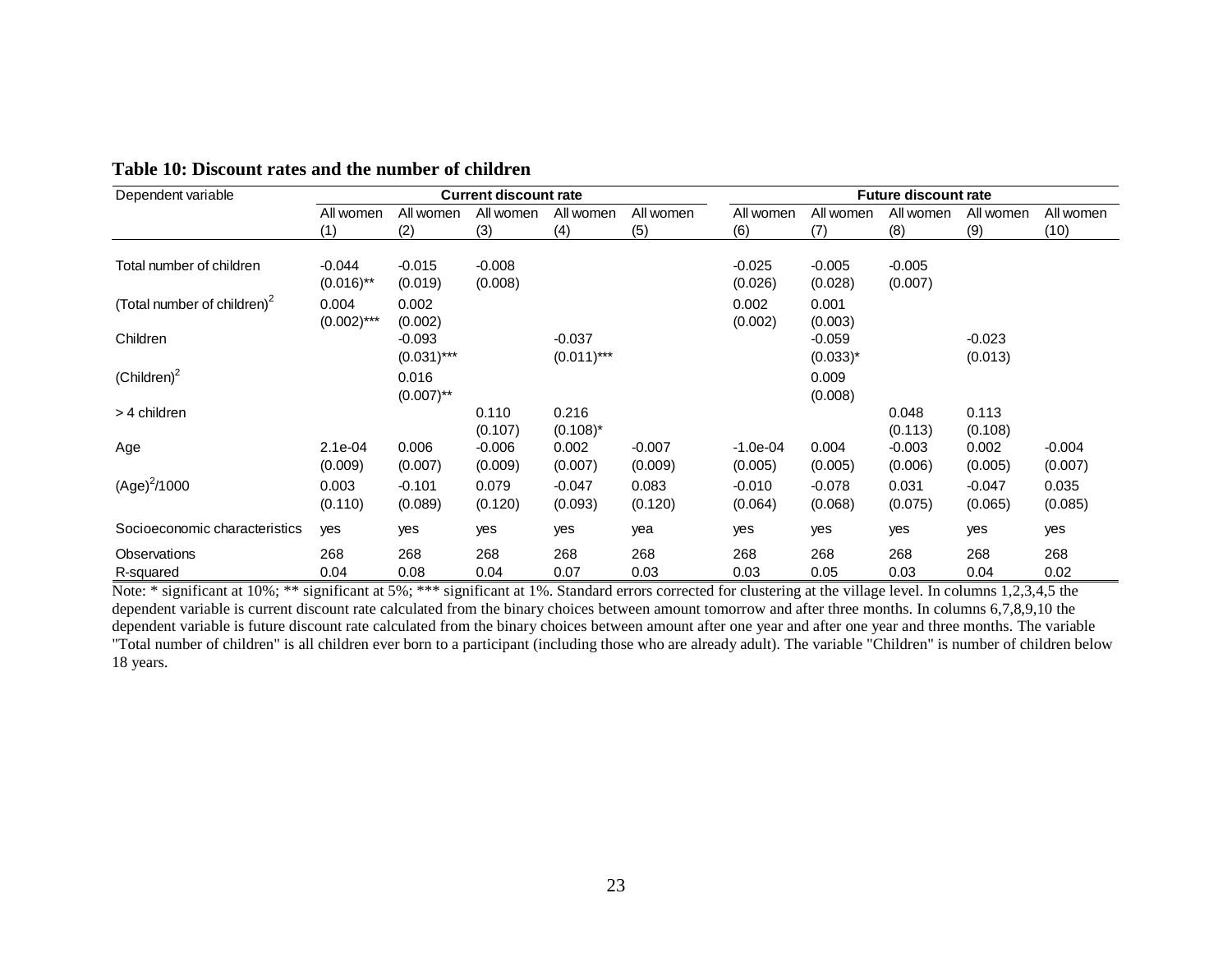| Dependent variable                      |                          |                           | <b>Current discount rate</b> |                           |                     |                       |                           | <b>Future discount rate</b> |                     |                     |
|-----------------------------------------|--------------------------|---------------------------|------------------------------|---------------------------|---------------------|-----------------------|---------------------------|-----------------------------|---------------------|---------------------|
|                                         | All women<br>(1)         | All women<br>(2)          | All women<br>(3)             | All women<br>(4)          | All women<br>(5)    | All women<br>(6)      | All women<br>(7)          | All women<br>(8)            | All women<br>(9)    | All women<br>(10)   |
| Total number of children                | $-0.044$<br>$(0.016)$ ** | $-0.015$<br>(0.019)       | $-0.008$<br>(0.008)          |                           |                     | $-0.025$<br>(0.026)   | $-0.005$<br>(0.028)       | $-0.005$<br>(0.007)         |                     |                     |
| (Total number of children) <sup>2</sup> | 0.004<br>$(0.002)$ ***   | 0.002<br>(0.002)          |                              |                           |                     | 0.002<br>(0.002)      | 0.001<br>(0.003)          |                             |                     |                     |
| Children                                |                          | $-0.093$<br>$(0.031)$ *** |                              | $-0.037$<br>$(0.011)$ *** |                     |                       | $-0.059$<br>$(0.033)^{*}$ |                             | $-0.023$<br>(0.013) |                     |
| $(Children)^2$                          |                          | 0.016<br>$(0.007)$ **     |                              |                           |                     |                       | 0.009<br>(0.008)          |                             |                     |                     |
| > 4 children                            |                          |                           | 0.110<br>(0.107)             | 0.216<br>$(0.108)^*$      |                     |                       |                           | 0.048<br>(0.113)            | 0.113<br>(0.108)    |                     |
| Age                                     | $2.1e-04$<br>(0.009)     | 0.006<br>(0.007)          | $-0.006$<br>(0.009)          | 0.002<br>(0.007)          | $-0.007$<br>(0.009) | $-1.0e-04$<br>(0.005) | 0.004<br>(0.005)          | $-0.003$<br>(0.006)         | 0.002<br>(0.005)    | $-0.004$<br>(0.007) |
| $(Age)^2/1000$                          | 0.003<br>(0.110)         | $-0.101$<br>(0.089)       | 0.079<br>(0.120)             | $-0.047$<br>(0.093)       | 0.083<br>(0.120)    | $-0.010$<br>(0.064)   | $-0.078$<br>(0.068)       | 0.031<br>(0.075)            | $-0.047$<br>(0.065) | 0.035<br>(0.085)    |
| Socioeconomic characteristics           | yes                      | yes                       | yes                          | yes                       | yea                 | yes                   | yes                       | yes                         | yes                 | yes                 |
| Observations<br>R-squared               | 268<br>0.04              | 268<br>0.08               | 268<br>0.04                  | 268<br>0.07               | 268<br>0.03         | 268<br>0.03           | 268<br>0.05               | 268<br>0.03                 | 268<br>0.04         | 268<br>0.02         |

**Table 10: Discount rates and the number of children** 

Note: \* significant at 10%; \*\* significant at 5%; \*\*\* significant at 1%. Standard errors corrected for clustering at the village level. In columns 1,2,3,4,5 the dependent variable is current discount rate calculated from the binary choices between amount tomorrow and after three months. In columns 6,7,8,9,10 the dependent variable is future discount rate calculated from the binary choices between amount after one year and after one year and three months. The variable "Total number of children" is all children ever born to a participant (including those who are already adult). The variable "Children" is number of children below 18 years.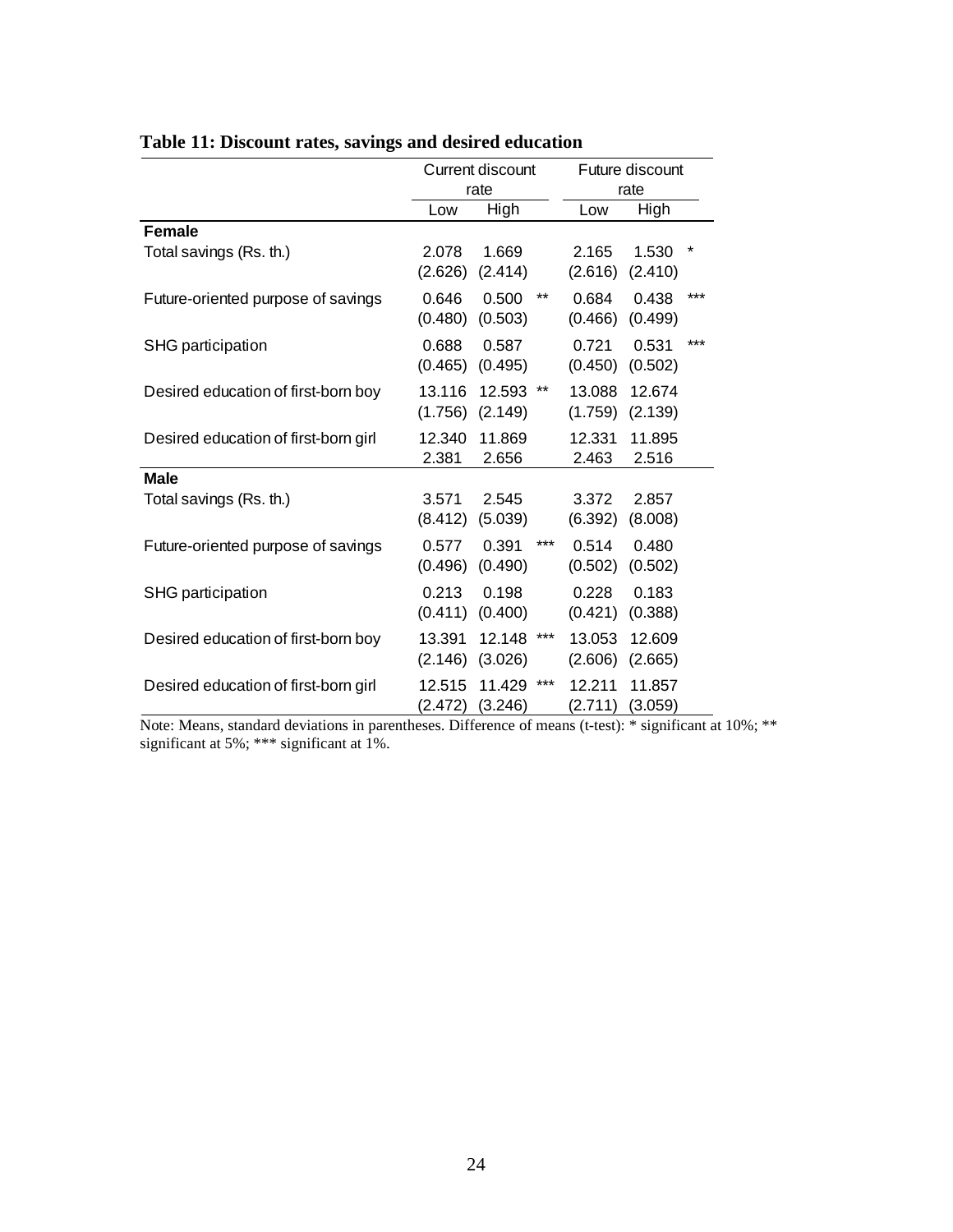|                                      | <b>Current discount</b><br>rate |                   |       | Future discount   |                   |          |
|--------------------------------------|---------------------------------|-------------------|-------|-------------------|-------------------|----------|
|                                      |                                 |                   |       | rate              |                   |          |
|                                      | Low                             | High              |       | Low               | High              |          |
| <b>Female</b>                        |                                 |                   |       |                   |                   |          |
| Total savings (Rs. th.)              | 2.078<br>(2.626)                | 1.669<br>(2.414)  |       | 2.165<br>(2.616)  | 1.530<br>(2.410)  | $^\star$ |
| Future-oriented purpose of savings   | 0.646<br>(0.480)                | 0.500<br>(0.503)  | $***$ | 0.684<br>(0.466)  | 0.438<br>(0.499)  | $***$    |
| SHG participation                    | 0.688<br>(0.465)                | 0.587<br>(0.495)  |       | 0.721<br>(0.450)  | 0.531<br>(0.502)  | $***$    |
| Desired education of first-born boy  | 13.116<br>(1.756)               | 12.593<br>(2.149) | **    | 13.088<br>(1.759) | 12.674<br>(2.139) |          |
| Desired education of first-born girl | 12.340<br>2.381                 | 11.869<br>2.656   |       | 12.331<br>2.463   | 11.895<br>2.516   |          |
| <b>Male</b>                          |                                 |                   |       |                   |                   |          |
| Total savings (Rs. th.)              | 3.571<br>(8.412)                | 2.545<br>(5.039)  |       | 3.372<br>(6.392)  | 2.857<br>(8.008)  |          |
| Future-oriented purpose of savings   | 0.577<br>(0.496)                | 0.391<br>(0.490)  | ***   | 0.514<br>(0.502)  | 0.480<br>(0.502)  |          |
| SHG participation                    | 0.213<br>(0.411)                | 0.198<br>(0.400)  |       | 0.228<br>(0.421)  | 0.183<br>(0.388)  |          |
| Desired education of first-born boy  | 13.391<br>(2.146)               | 12.148<br>(3.026) | ***   | 13.053<br>(2.606) | 12.609<br>(2.665) |          |
| Desired education of first-born girl | 12.515<br>(2.472)               | 11.429<br>(3.246) | ***   | 12.211<br>(2.711) | 11.857<br>(3.059) |          |

## **Table 11: Discount rates, savings and desired education**

Note: Means, standard deviations in parentheses. Difference of means (t-test): \* significant at 10%; \*\* significant at 5%; \*\*\* significant at 1%.